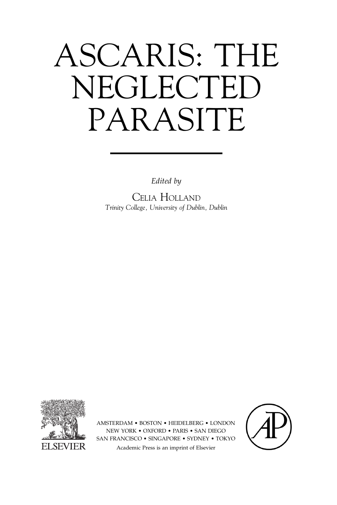# ASCARIS: THE NEGLECTED PARASITE

Edited by

CELIA HOLLAND  $T_{\text{max}}$  College, Chinaming of Dublin, Dublin,



AMSTERDAM • BOSTON • HEIDELBERG • LONDON NEW YORK • OXFORD • PARIS • SAN DIEGO SAN FRANCISCO • SINGAPORE • SYDNEY • TOKYO

Academic Press is an imprint of Elsevier

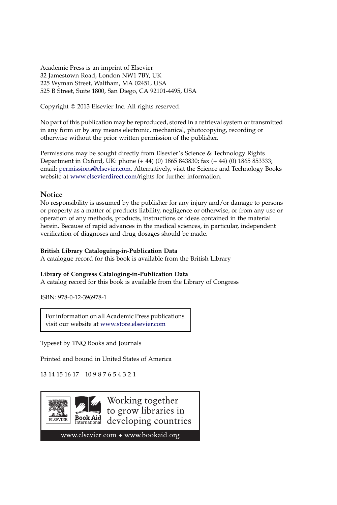Academic Press is an imprint of Elsevier 32 Jamestown Road, London NW1 7BY, UK 225 Wyman Street, Waltham, MA 02451, USA 525 B Street, Suite 1800, San Diego, CA 92101-4495, USA

Copyright © 2013 Elsevier Inc. All rights reserved.

No part of this publication may be reproduced, stored in a retrieval system or transmitted in any form or by any means electronic, mechanical, photocopying, recording or otherwise without the prior written permission of the publisher.

Permissions may be sought directly from Elsevier's Science & Technology Rights Department in Oxford, UK: phone (+ 44) (0) 1865 843830; fax (+ 44) (0) 1865 853333; email: [permissions@elsevier.com.](mailto:permissions@elsevier.com) Alternatively, visit the Science and Technology Books website at [www.elsevierdirect.com](http://www.elsevierdirect.com)/rights for further information.

### **Notice**

No responsibility is assumed by the publisher for any injury and/or damage to persons or property as a matter of products liability, negligence or otherwise, or from any use or operation of any methods, products, instructions or ideas contained in the material herein. Because of rapid advances in the medical sciences, in particular, independent verification of diagnoses and drug dosages should be made.

A catalogue record for this book is available from the British Library

Library of Congress Cataloging-in-Publication Data A catalog record for this book is available from the Library of Congress

ISBN: 978-0-12-396978-1

For information on all Academic Press publications visit our website at [www.store.elsevier.com](http://www.store.elsevier.com)

Typeset by TNQ Books and Journals

Printed and bound in United States of America

### 13 14 15 16 17 10 9 8 7 6 5 4 3 2 1

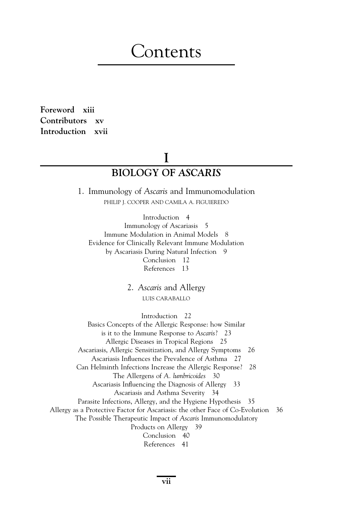# Contents

Foreword xiii Contributors xv Introduction xvii

# I

### BIOLOGY OF ASCARIS

1. Immunology of Ascaris and Immunomodulation PHILIP J. COOPER AND CAMILA A. FIGUIEREDO

Introduction 4 Immunology of Ascariasis 5 Immune Modulation in Animal Models 8 Evidence for Clinically Relevant Immune Modulation by Ascariasis During Natural Infection 9 Conclusion 12 References 13

> 2. Ascaris and Allergy LUIS CARABALLO

Introduction 22 Basics Concepts of the Allergic Response: how Similar is it to the Immune Response to Ascaris? 23 Allergic Diseases in Tropical Regions 25 Ascariasis, Allergic Sensitization, and Allergy Symptoms 26 Ascariasis Influences the Prevalence of Asthma 27 Can Helminth Infections Increase the Allergic Response? 28 The Allergens of A. lumbricoides 30 Ascariasis Influencing the Diagnosis of Allergy 33 Ascariasis and Asthma Severity 34 Parasite Infections, Allergy, and the Hygiene Hypothesis 35 Allergy as a Protective Factor for Ascariasis: the other Face of Co-Evolution 36 The Possible Therapeutic Impact of Ascaris Immunomodulatory Products on Allergy 39 Conclusion 40 References 41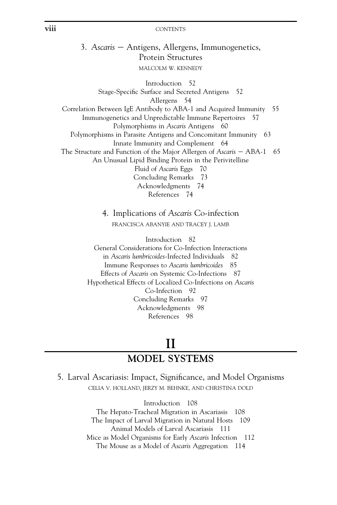viii CONTENTS

### 3. Ascaris  $-$  Antigens, Allergens, Immunogenetics, Protein Structures MALCOLM W. KENNEDY

Introduction 52 Stage-Specific Surface and Secreted Antigens 52 Allergens 54 Correlation Between IgE Antibody to ABA-1 and Acquired Immunity 55 Immunogenetics and Unpredictable Immune Repertoires 57 Polymorphisms in Ascaris Antigens 60 Polymorphisms in Parasite Antigens and Concomitant Immunity 63 Innate Immunity and Complement 64 The Structure and Function of the Major Allergen of Ascaris  $-$  ABA-1 65 An Unusual Lipid Binding Protein in the Perivitelline Fluid of Ascaris Eggs 70 Concluding Remarks 73 Acknowledgments 74 References 74

> 4. Implications of Ascaris Co-infection FRANCISCA ABANYIE AND TRACEY J. LAMB

Introduction 82 General Considerations for Co-Infection Interactions in Ascaris lumbricoides-Infected Individuals 82 Immune Responses to Ascaris lumbricoides <sup>85</sup> Effects of Ascaris on Systemic Co-Infections 87 Hypothetical Effects of Localized Co-Infections on Ascaris Co-Infection 92 Concluding Remarks 97 Acknowledgments 98 References 98

### II MODEL SYSTEMS

5. Larval Ascariasis: Impact, Significance, and Model Organisms CELIA V. HOLLAND, JERZY M. BEHNKE, AND CHRISTINA DOLD

> Introduction 108 The Hepato-Tracheal Migration in Ascariasis 108 The Impact of Larval Migration in Natural Hosts 109 Animal Models of Larval Ascariasis 111 Mice as Model Organisms for Early Ascaris Infection 112 The Mouse as a Model of Ascaris Aggregation 114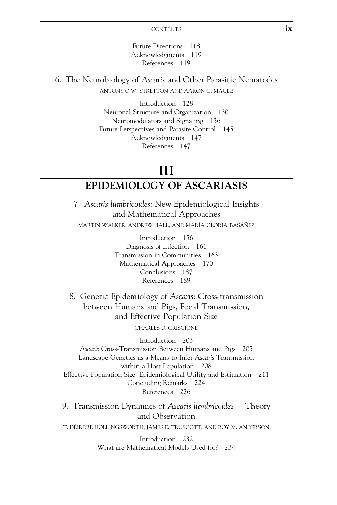CONTENTS ix

Future Directions 118 Acknowledgments 119 References 119

6. The Neurobiology of Ascaris and Other Parasitic Nematodes ANTONY O.W. STRETTON AND AARON G. MAULE

> Introduction 128 Neuronal Structure and Organization 130 Neuromodulators and Signaling 136 Future Perspectives and Parasite Control 145 Acknowledgments 147 References 147

## III

### EPIDEMIOLOGY OF ASCARIASIS

7. Ascaris lumbricoides: New Epidemiological Insights and Mathematical Approaches

MARTIN WALKER, ANDREW HALL, AND MARÍA-GLORIA BASÁÑEZ

Introduction 156 Diagnosis of Infection 161 Transmission in Communities 163 Mathematical Approaches 170 Conclusions 187 References 189

8. Genetic Epidemiology of Ascaris: Cross-transmission between Humans and Pigs, Focal Transmission, and Effective Population Size CHARLES D. CRISCIONE

Introduction 203 Ascaris Cross-Transmission Between Humans and Pigs 205 Landscape Genetics as a Means to Infer Ascaris Transmission within a Host Population 208 Effective Population Size: Epidemiological Utility and Estimation 211 Concluding Remarks 224 References 226

9. Transmission Dynamics of Ascaris lumbricoides  $-$  Theory and Observation T. DÉIRDRE HOLLINGSWORTH, JAMES E. TRUSCOTT, AND ROY M. ANDERSON

> Introduction 232 What are Mathematical Models Used for? 234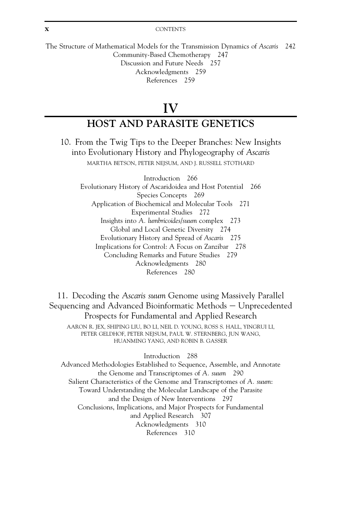x CONTENTS

The Structure of Mathematical Models for the Transmission Dynamics of Ascaris <sup>242</sup> Community-Based Chemotherapy 247 Discussion and Future Needs 257 Acknowledgments 259 References 259

### IV

### HOST AND PARASITE GENETICS

10. From the Twig Tips to the Deeper Branches: New Insights into Evolutionary History and Phylogeography of Ascaris MARTHA BETSON, PETER NEJSUM, AND J. RUSSELL STOTHARD

Introduction 266 Evolutionary History of Ascaridoidea and Host Potential 266 Species Concepts 269 Application of Biochemical and Molecular Tools 271 Experimental Studies 272 Insights into A. lumbricoides/suum complex 273 Global and Local Genetic Diversity 274 Evolutionary History and Spread of Ascaris <sup>275</sup> Implications for Control: A Focus on Zanzibar 278 Concluding Remarks and Future Studies 279 Acknowledgments 280 References 280

11. Decoding the Ascaris suum Genome using Massively Parallel Sequencing and Advanced Bioinformatic Methods – Unprecedented Prospects for Fundamental and Applied Research

AARON R. JEX, SHIPING LIU, BO LI, NEIL D. YOUNG, ROSS S. HALL, YINGRUI LI, PETER GELDHOF, PETER NEJSUM, PAUL W. STERNBERG, JUN WANG, HUANMING YANG, AND ROBIN B. GASSER

### Introduction 288

Advanced Methodologies Established to Sequence, Assemble, and Annotate the Genome and Transcriptomes of A. suum <sup>290</sup> Salient Characteristics of the Genome and Transcriptomes of A. suum: Toward Understanding the Molecular Landscape of the Parasite and the Design of New Interventions 297 Conclusions, Implications, and Major Prospects for Fundamental and Applied Research 307 Acknowledgments 310 References 310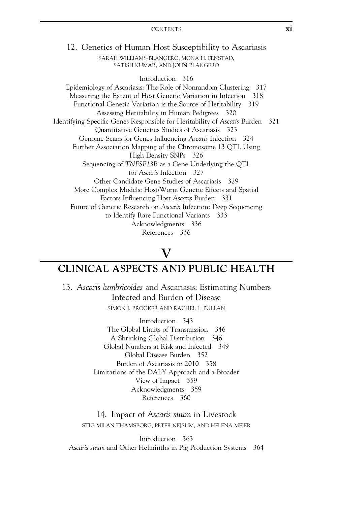12. Genetics of Human Host Susceptibility to Ascariasis SARAH WILLIAMS-BLANGERO, MONA H. FENSTAD, SATISH KUMAR, AND JOHN BLANGERO

Introduction 316 Epidemiology of Ascariasis: The Role of Nonrandom Clustering 317 Measuring the Extent of Host Genetic Variation in Infection 318 Functional Genetic Variation is the Source of Heritability 319 Assessing Heritability in Human Pedigrees 320 Identifying Specific Genes Responsible for Heritability of Ascaris Burden 321 Quantitative Genetics Studies of Ascariasis 323 Genome Scans for Genes Influencing Ascaris Infection 324 Further Association Mapping of the Chromosome 13 QTL Using High Density SNPs 326 Sequencing of TNFSF13B as a Gene Underlying the QTL for Ascaris Infection 327 Other Candidate Gene Studies of Ascariasis 329 More Complex Models: Host/Worm Genetic Effects and Spatial Factors Influencing Host Ascaris Burden 331 Future of Genetic Research on Ascaris Infection: Deep Sequencing to Identify Rare Functional Variants 333 Acknowledgments 336 References 336

### V

### CLINICAL ASPECTS AND PUBLIC HEALTH

13. Ascaris lumbricoides and Ascariasis: Estimating Numbers Infected and Burden of Disease

SIMON J. BROOKER AND RACHEL L. PULLAN

Introduction 343 The Global Limits of Transmission 346 A Shrinking Global Distribution 346 Global Numbers at Risk and Infected 349 Global Disease Burden 352 Burden of Ascariasis in 2010 358 Limitations of the DALY Approach and a Broader View of Impact 359 Acknowledgments 359 References 360

14. Impact of Ascaris suum in Livestock STIG MILAN THAMSBORG, PETER NEJSUM, AND HELENA MEJER

Introduction 363 Ascaris suum and Other Helminths in Pig Production Systems 364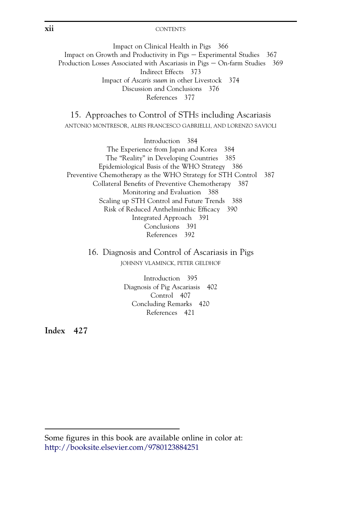xii CONTENTS

Impact on Clinical Health in Pigs 366 Impact on Growth and Productivity in Pigs  $-$  Experimental Studies 367 Production Losses Associated with Ascariasis in Pigs  $-$  On-farm Studies 369 Indirect Effects 373 Impact of Ascaris suum in other Livestock 374 Discussion and Conclusions 376 References 377

15. Approaches to Control of STHS including Ascariasis ANTONIO MONTRESOR, ALBIS FRANCESCO GABRIELLI, AND LORENZO SAVIOLI

Introduction 384 The Experience from Japan and Korea 384 The "Reality" in Developing Countries 385 Epidemiological Basis of the WHO Strategy 386 Preventive Chemotherapy as the WHO Strategy for STH Control 387 Collateral Benefits of Preventive Chemotherapy 387 Monitoring and Evaluation 388 Scaling up STH Control and Future Trends 388 Risk of Reduced Anthelminthic Efficacy 390 Integrated Approach 391 Conclusions 391 References 392

> 16. Diagnosis and Control of Ascariasis in Pigs JOHNNY VLAMINCK, PETER GELDHOF

> > Introduction 395 Diagnosis of Pig Ascariasis 402 Control 407 Concluding Remarks 420 References 421

Index 427

Some figures in this book are available online in color at: <http://booksite.elsevier.com/9780123884251>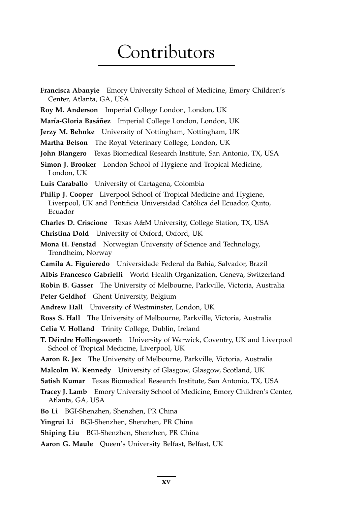# Contributors

- Francisca Abanyie Emory University School of Medicine, Emory Children's Center, Atlanta, GA, USA
- Roy M. Anderson Imperial College London, London, UK

María-Gloria Basáñez Imperial College London, London, UK

Jerzy M. Behnke University of Nottingham, Nottingham, UK

Martha Betson The Royal Veterinary College, London, UK

John Blangero Texas Biomedical Research Institute, San Antonio, TX, USA

Simon J. Brooker London School of Hygiene and Tropical Medicine, London, UK

Luis Caraballo University of Cartagena, Colombia

Philip J. Cooper Liverpool School of Tropical Medicine and Hygiene, Liverpool, UK and Pontificia Universidad Católica del Ecuador, Quito, Ecuador

Charles D. Criscione Texas A&M University, College Station, TX, USA

Christina Dold University of Oxford, Oxford, UK

Mona H. Fenstad Norwegian University of Science and Technology, Trondheim, Norway

Camila A. Figuieredo Universidade Federal da Bahia, Salvador, Brazil

Albis Francesco Gabrielli World Health Organization, Geneva, Switzerland

Robin B. Gasser The University of Melbourne, Parkville, Victoria, Australia

Peter Geldhof Ghent University, Belgium

Andrew Hall University of Westminster, London, UK

Ross S. Hall The University of Melbourne, Parkville, Victoria, Australia

Celia V. Holland Trinity College, Dublin, Ireland

T. Déirdre Hollingsworth University of Warwick, Coventry, UK and Liverpool School of Tropical Medicine, Liverpool, UK

Aaron R. Jex The University of Melbourne, Parkville, Victoria, Australia

Malcolm W. Kennedy University of Glasgow, Glasgow, Scotland, UK

Satish Kumar Texas Biomedical Research Institute, San Antonio, TX, USA

Tracey J. Lamb Emory University School of Medicine, Emory Children's Center, Atlanta, GA, USA

Bo Li BGI-Shenzhen, Shenzhen, PR China

Yingrui Li BGI-Shenzhen, Shenzhen, PR China

Shiping Liu BGI-Shenzhen, Shenzhen, PR China

Aaron G. Maule Queen's University Belfast, Belfast, UK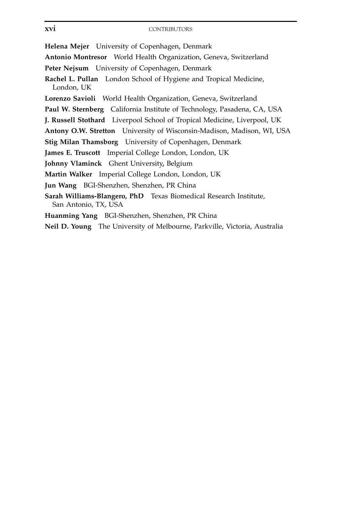### xvi CONTRIBUTORS

Helena Mejer University of Copenhagen, Denmark

Antonio Montresor World Health Organization, Geneva, Switzerland

Peter Nejsum University of Copenhagen, Denmark

Rachel L. Pullan London School of Hygiene and Tropical Medicine, London, UK

Lorenzo Savioli World Health Organization, Geneva, Switzerland

Paul W. Sternberg California Institute of Technology, Pasadena, CA, USA

J. Russell Stothard Liverpool School of Tropical Medicine, Liverpool, UK

Antony O.W. Stretton University of Wisconsin-Madison, Madison, WI, USA

Stig Milan Thamsborg University of Copenhagen, Denmark

James E. Truscott Imperial College London, London, UK

Johnny Vlaminck Ghent University, Belgium

Martin Walker Imperial College London, London, UK

Jun Wang BGI-Shenzhen, Shenzhen, PR China

- Sarah Williams-Blangero, PhD Texas Biomedical Research Institute, San Antonio, TX, USA
- Huanming Yang BGI-Shenzhen, Shenzhen, PR China

Neil D. Young The University of Melbourne, Parkville, Victoria, Australia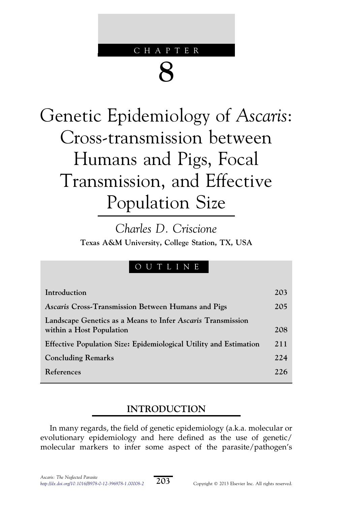### CHAPTER

# 8

# Genetic Epidemiology of Ascaris: Cross-transmission between Humans and Pigs, Focal Transmission, and Effective Population Size

Charles D. Criscione **Texas A&M University, College Station, TX, USA** 

### OUTLINE

| Introduction                                                                            | 203  |
|-----------------------------------------------------------------------------------------|------|
| Ascaris Cross-Transmission Between Humans and Pigs                                      | 205  |
| Landscape Genetics as a Means to Infer Ascaris Transmission<br>within a Host Population | 208  |
| Effective Population Size: Epidemiological Utility and Estimation                       | 211  |
| <b>Concluding Remarks</b>                                                               | 224  |
| References                                                                              | 2.26 |
|                                                                                         |      |

### INTRODUCTION

In many regards, the field of genetic epidemiology (a.k.a. molecular or evolutionary epidemiology and here defined as the use of genetic/ molecular markers to infer some aspect of the parasite/pathogen's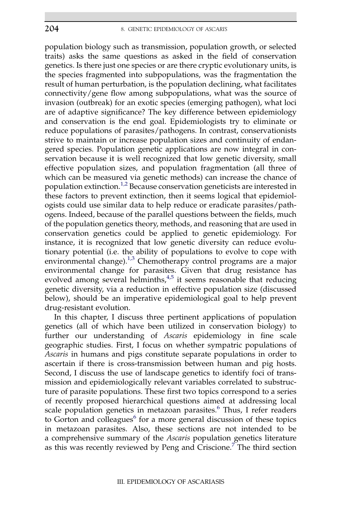population biology such as transmission, population growth, or selected traits) asks the same questions as asked in the field of conservation genetics. Is there just one species or are there cryptic evolutionary units, is the species fragmented into subpopulations, was the fragmentation the result of human perturbation, is the population declining, what facilitates connectivity/gene flow among subpopulations, what was the source of invasion (outbreak) for an exotic species (emerging pathogen), what loci are of adaptive significance? The key difference between epidemiology and conservation is the end goal. Epidemiologists try to eliminate or reduce populations of parasites/pathogens. In contrast, conservationists strive to maintain or increase population sizes and continuity of endangered species. Population genetic applications are now integral in conservation because it is well recognized that low genetic diversity, small effective population sizes, and population fragmentation (all three of which can be measured via genetic methods) can increase the chance of population extinction.<sup>[1,2](#page-33-0)</sup> Because conservation geneticists are interested in these factors to prevent extinction, then it seems logical that epidemiologists could use similar data to help reduce or eradicate parasites/pathogens. Indeed, because of the parallel questions between the fields, much of the population genetics theory, methods, and reasoning that are used in conservation genetics could be applied to genetic epidemiology. For instance, it is recognized that low genetic diversity can reduce evolutionary potential (i.e. the ability of populations to evolve to cope with environmental change).<sup>[1,3](#page-33-0)</sup> Chemotherapy control programs are a major environmental change for parasites. Given that drug resistance has evolved among several helminths, $4.5$  it seems reasonable that reducing genetic diversity, via a reduction in effective population size (discussed below), should be an imperative epidemiological goal to help prevent drug-resistant evolution.

In this chapter, I discuss three pertinent applications of population genetics (all of which have been utilized in conservation biology) to further our understanding of Ascaris epidemiology in fine scale geographic studies. First, I focus on whether sympatric populations of Ascaris in humans and pigs constitute separate populations in order to ascertain if there is cross-transmission between human and pig hosts. Second, I discuss the use of landscape genetics to identify foci of transmission and epidemiologically relevant variables correlated to substructure of parasite populations. These first two topics correspond to a series of recently proposed hierarchical questions aimed at addressing local scale population genetics in metazoan parasites.<sup>[6](#page-33-0)</sup> Thus, I refer readers to Gorton and colleagues<sup>[6](#page-33-0)</sup> for a more general discussion of these topics in metazoan parasites. Also, these sections are not intended to be a comprehensive summary of the Ascaris population genetics literature as this was recently reviewed by Peng and Criscione.<sup>[7](#page-33-0)</sup> The third section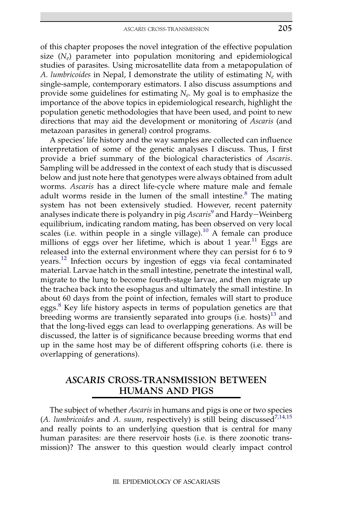of this chapter proposes the novel integration of the effective population size  $(N_e)$  parameter into population monitoring and epidemiological studies of parasites. Using microsatellite data from a metapopulation of A. lumbricoides in Nepal, I demonstrate the utility of estimating  $N_e$  with single-sample, contemporary estimators. I also discuss assumptions and provide some guidelines for estimating  $N_e$ . My goal is to emphasize the importance of the above topics in epidemiological research, highlight the population genetic methodologies that have been used, and point to new directions that may aid the development or monitoring of *Ascaris* (and metazoan parasites in general) control programs.

A species' life history and the way samples are collected can influence interpretation of some of the genetic analyses I discuss. Thus, I first provide a brief summary of the biological characteristics of Ascaris. Sampling will be addressed in the context of each study that is discussed below and just note here that genotypes were always obtained from adult worms. Ascaris has a direct life-cycle where mature male and female adult worms reside in the lumen of the small intestine. $\delta$  The mating system has not been extensively studied. However, recent paternity analyses indicate there is polyandry in pig  $Assaris^9$  $Assaris^9$  and Hardy-Weinberg equilibrium, indicating random mating, has been observed on very local scales (i.e. within people in a single village).<sup>[10](#page-34-0)</sup> A female can produce millions of eggs over her lifetime, which is about 1 year.<sup>[11](#page-34-0)</sup> Eggs are released into the external environment where they can persist for 6 to 9 years.<sup>[12](#page-34-0)</sup> Infection occurs by ingestion of eggs via fecal contaminated material. Larvae hatch in the small intestine, penetrate the intestinal wall, migrate to the lung to become fourth-stage larvae, and then migrate up the trachea back into the esophagus and ultimately the small intestine. In about 60 days from the point of infection, females will start to produce eggs.<sup>[8](#page-34-0)</sup> Key life history aspects in terms of population genetics are that breeding worms are transiently separated into groups (i.e. hosts) $^{13}$  $^{13}$  $^{13}$  and that the long-lived eggs can lead to overlapping generations. As will be discussed, the latter is of significance because breeding worms that end up in the same host may be of different offspring cohorts (i.e. there is overlapping of generations).

### ASCARIS CROSS-TRANSMISSION BETWEEN HUMANS AND PIGS

The subject of whether *Ascaris* in humans and pigs is one or two species (A. lumbricoides and A. suum, respectively) is still being discussed<sup>[7,14,15](#page-33-0)</sup> and really points to an underlying question that is central for many human parasites: are there reservoir hosts (i.e. is there zoonotic transmission)? The answer to this question would clearly impact control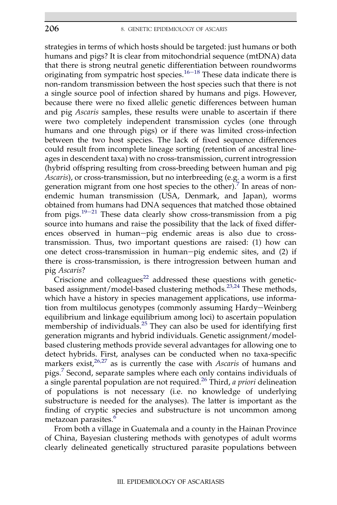strategies in terms of which hosts should be targeted: just humans or both humans and pigs? It is clear from mitochondrial sequence (mtDNA) data that there is strong neutral genetic differentiation between roundworms originating from sympatric host species.<sup>[16](#page-34-0)–[18](#page-34-0)</sup> These data indicate there is non-random transmission between the host species such that there is not a single source pool of infection shared by humans and pigs. However, because there were no fixed allelic genetic differences between human and pig *Ascaris* samples, these results were unable to ascertain if there were two completely independent transmission cycles (one through humans and one through pigs) or if there was limited cross-infection between the two host species. The lack of fixed sequence differences could result from incomplete lineage sorting (retention of ancestral lineages in descendent taxa) with no cross-transmission, current introgression (hybrid offspring resulting from cross-breeding between human and pig Ascaris), or cross-transmission, but no interbreeding (e.g. a worm is a first generation migrant from one host species to the other).<sup>[7](#page-33-0)</sup> In areas of nonendemic human transmission (USA, Denmark, and Japan), worms obtained from humans had DNA sequences that matched those obtained from pigs. $19-21$  $19-21$  $19-21$  These data clearly show cross-transmission from a pig source into humans and raise the possibility that the lack of fixed differences observed in human-pig endemic areas is also due to crosstransmission. Thus, two important questions are raised: (1) how can one detect cross-transmission in human-pig endemic sites, and (2) if there is cross-transmission, is there introgression between human and pig Ascaris?

Criscione and colleagues<sup>[22](#page-34-0)</sup> addressed these questions with genetic-based assignment/model-based clustering methods.<sup>[23,24](#page-34-0)</sup> These methods, which have a history in species management applications, use information from multilocus genotypes (commonly assuming Hardy-Weinberg equilibrium and linkage equilibrium among loci) to ascertain population membership of individuals.<sup>[25](#page-34-0)</sup> They can also be used for identifying first generation migrants and hybrid individuals. Genetic assignment/modelbased clustering methods provide several advantages for allowing one to detect hybrids. First, analyses can be conducted when no taxa-specific markers exist, $26.27$  as is currently the case with Ascaris of humans and pigs.[7](#page-33-0) Second, separate samples where each only contains individuals of a single parental population are not required.<sup>[26](#page-34-0)</sup> Third, a priori delineation of populations is not necessary (i.e. no knowledge of underlying substructure is needed for the analyses). The latter is important as the finding of cryptic species and substructure is not uncommon among metazoan parasites.<sup>[6](#page-33-0)</sup>

From both a village in Guatemala and a county in the Hainan Province of China, Bayesian clustering methods with genotypes of adult worms clearly delineated genetically structured parasite populations between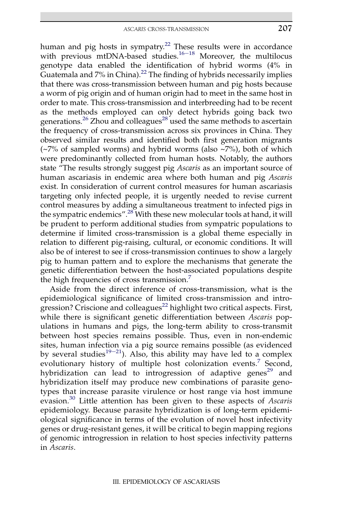human and pig hosts in sympatry.<sup>[22](#page-34-0)</sup> These results were in accordance with previous  $m$ tDNA-based studies.<sup>[16](#page-34-0)-[18](#page-34-0)</sup> Moreover, the multilocus</sub> genotype data enabled the identification of hybrid worms (4% in Guatemala and  $7\%$  in China).<sup>[22](#page-34-0)</sup> The finding of hybrids necessarily implies that there was cross-transmission between human and pig hosts because a worm of pig origin and of human origin had to meet in the same host in order to mate. This cross-transmission and interbreeding had to be recent as the methods employed can only detect hybrids going back two generations.<sup>[26](#page-34-0)</sup> Zhou and colleagues<sup>[28](#page-34-0)</sup> used the same methods to ascertain the frequency of cross-transmission across six provinces in China. They observed similar results and identified both first generation migrants  $(\sim 7\%$  of sampled worms) and hybrid worms (also  $\sim 7\%$ ), both of which were predominantly collected from human hosts. Notably, the authors state "The results strongly suggest pig Ascaris as an important source of human ascariasis in endemic area where both human and pig Ascaris exist. In consideration of current control measures for human ascariasis targeting only infected people, it is urgently needed to revise current control measures by adding a simultaneous treatment to infected pigs in the sympatric endemics".<sup>[28](#page-34-0)</sup> With these new molecular tools at hand, it will be prudent to perform additional studies from sympatric populations to determine if limited cross-transmission is a global theme especially in relation to different pig-raising, cultural, or economic conditions. It will also be of interest to see if cross-transmission continues to show a largely pig to human pattern and to explore the mechanisms that generate the genetic differentiation between the host-associated populations despite the high frequencies of cross transmission.<sup>[7](#page-33-0)</sup>

Aside from the direct inference of cross-transmission, what is the epidemiological significance of limited cross-transmission and intro-gression? Criscione and colleagues<sup>[22](#page-34-0)</sup> highlight two critical aspects. First, while there is significant genetic differentiation between Ascaris populations in humans and pigs, the long-term ability to cross-transmit between host species remains possible. Thus, even in non-endemic sites, human infection via a pig source remains possible (as evidenced by several studies<sup>[19](#page-34-0)–[21](#page-34-0)</sup>). Also, this ability may have led to a complex evolutionary history of multiple host colonization events.<sup>[7](#page-33-0)</sup> Second, hybridization can lead to introgression of adaptive genes<sup>[29](#page-34-0)</sup> and hybridization itself may produce new combinations of parasite genotypes that increase parasite virulence or host range via host immune  $\frac{1}{2}$  cvasion.<sup>[30](#page-34-0)</sup> Little attention has been given to these aspects of Ascaris epidemiology. Because parasite hybridization is of long-term epidemiological significance in terms of the evolution of novel host infectivity genes or drug-resistant genes, it will be critical to begin mapping regions of genomic introgression in relation to host species infectivity patterns in Ascaris.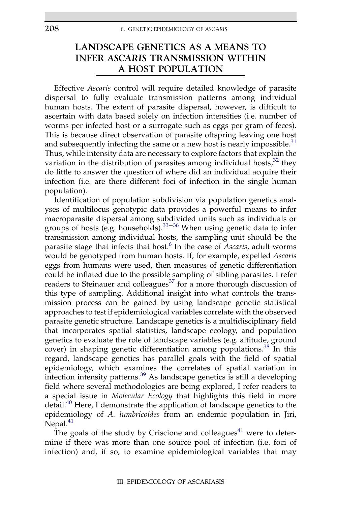### LANDSCAPE GENETICS AS A MEANS TO INFER ASCARIS TRANSMISSION WITHIN A HOST POPULATION

Effective Ascaris control will require detailed knowledge of parasite dispersal to fully evaluate transmission patterns among individual human hosts. The extent of parasite dispersal, however, is difficult to ascertain with data based solely on infection intensities (i.e. number of worms per infected host or a surrogate such as eggs per gram of feces). This is because direct observation of parasite offspring leaving one host and subsequently infecting the same or a new host is nearly impossible.<sup>[31](#page-35-0)</sup> Thus, while intensity data are necessary to explore factors that explain the variation in the distribution of parasites among individual hosts, $32$  they do little to answer the question of where did an individual acquire their infection (i.e. are there different foci of infection in the single human population).

Identification of population subdivision via population genetics analyses of multilocus genotypic data provides a powerful means to infer macroparasite dispersal among subdivided units such as individuals or groups of hosts (e.g. households). $33-36$  $33-36$  $33-36$  When using genetic data to infer transmission among individual hosts, the sampling unit should be the parasite stage that infects that host.<sup>[6](#page-33-0)</sup> In the case of *Ascaris*, adult worms would be genotyped from human hosts. If, for example, expelled Ascaris eggs from humans were used, then measures of genetic differentiation could be inflated due to the possible sampling of sibling parasites. I refer readers to Steinauer and colleagues<sup>[37](#page-35-0)</sup> for a more thorough discussion of this type of sampling. Additional insight into what controls the transmission process can be gained by using landscape genetic statistical approaches to test if epidemiological variables correlate with the observed parasite genetic structure. Landscape genetics is a multidisciplinary field that incorporates spatial statistics, landscape ecology, and population genetics to evaluate the role of landscape variables (e.g. altitude, ground cover) in shaping genetic differentiation among populations.<sup>38</sup> In this regard, landscape genetics has parallel goals with the field of spatial epidemiology, which examines the correlates of spatial variation in infection intensity patterns.[39](#page-35-0) As landscape genetics is still a developing field where several methodologies are being explored, I refer readers to a special issue in Molecular Ecology that highlights this field in more detail.<sup>[40](#page-35-0)</sup> Here, I demonstrate the application of landscape genetics to the epidemiology of A. lumbricoides from an endemic population in Jiri, Nepal. $^{41}$  $^{41}$  $^{41}$ 

The goals of the study by Criscione and colleagues $41$  were to determine if there was more than one source pool of infection (i.e. foci of infection) and, if so, to examine epidemiological variables that may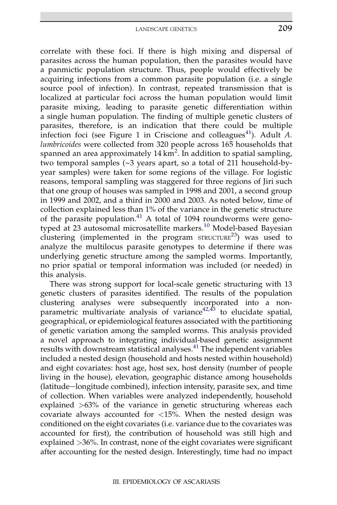correlate with these foci. If there is high mixing and dispersal of parasites across the human population, then the parasites would have a panmictic population structure. Thus, people would effectively be acquiring infections from a common parasite population (i.e. a single source pool of infection). In contrast, repeated transmission that is localized at particular foci across the human population would limit parasite mixing, leading to parasite genetic differentiation within a single human population. The finding of multiple genetic clusters of parasites, therefore, is an indication that there could be multiple infection foci (see Figure 1 in Criscione and colleagues<sup>[41](#page-35-0)</sup>). Adult  $A$ . lumbricoides were collected from 320 people across 165 households that spanned an area approximately  $14 \text{ km}^2$  $14 \text{ km}^2$ . In addition to spatial sampling, two temporal samples (~3 years apart, so a total of 211 household-byyear samples) were taken for some regions of the village. For logistic reasons, temporal sampling was staggered for three regions of Jiri such that one group of houses was sampled in 1998 and 2001, a second group in 1999 and 2002, and a third in 2000 and 2003. As noted below, time of collection explained less than 1% of the variance in the genetic structure of the parasite population. $41$  A total of 1094 roundworms were geno-typed at 23 autosomal microsatellite markers.<sup>[10](#page-34-0)</sup> Model-based Bayesian clustering (implemented in the program  $STRUCTURE<sup>23</sup>$ ) was used to analyze the multilocus parasite genotypes to determine if there was underlying genetic structure among the sampled worms. Importantly, no prior spatial or temporal information was included (or needed) in this analysis.

There was strong support for local-scale genetic structuring with 13 genetic clusters of parasites identified. The results of the population clustering analyses were subsequently incorporated into a nonparametric multivariate analysis of variance $42.43$  to elucidate spatial, geographical, or epidemiological features associated with the partitioning of genetic variation among the sampled worms. This analysis provided a novel approach to integrating individual-based genetic assignment results with downstream statistical analyses.<sup>41</sup> The independent variables included a nested design (household and hosts nested within household) and eight covariates: host age, host sex, host density (number of people living in the house), elevation, geographic distance among households (latitude-longitude combined), infection intensity, parasite sex, and time of collection. When variables were analyzed independently, household explained >63% of the variance in genetic structuring whereas each covariate always accounted for  $\langle 15\% \rangle$ . When the nested design was conditioned on the eight covariates (i.e. variance due to the covariates was accounted for first), the contribution of household was still high and explained >36%. In contrast, none of the eight covariates were significant after accounting for the nested design. Interestingly, time had no impact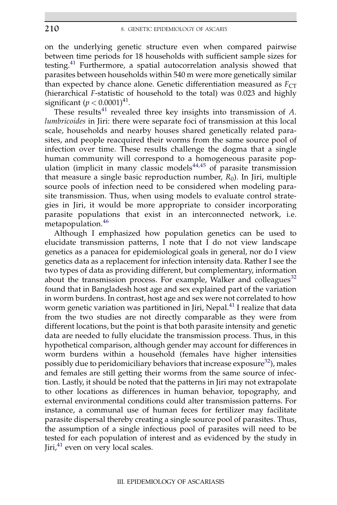on the underlying genetic structure even when compared pairwise between time periods for 18 households with sufficient sample sizes for testing.<sup>[41](#page-35-0)</sup> Furthermore, a spatial autocorrelation analysis showed that parasites between households within 540 m were more genetically similar than expected by chance alone. Genetic differentiation measured as  $F_{CT}$ (hierarchical F-statistic of household to the total) was 0.023 and highly significant  $(p < 0.0001)^{41}$ .

These results<sup>[41](#page-35-0)</sup> revealed three key insights into transmission of  $A$ . lumbricoides in Jiri: there were separate foci of transmission at this local scale, households and nearby houses shared genetically related parasites, and people reacquired their worms from the same source pool of infection over time. These results challenge the dogma that a single human community will correspond to a homogeneous parasite population (implicit in many classic models $44,45$  of parasite transmission that measure a single basic reproduction number,  $R_0$ ). In Jiri, multiple source pools of infection need to be considered when modeling parasite transmission. Thus, when using models to evaluate control strategies in Jiri, it would be more appropriate to consider incorporating parasite populations that exist in an interconnected network, i.e. metapopulation.<sup>[46](#page-35-0)</sup>

Although I emphasized how population genetics can be used to elucidate transmission patterns, I note that I do not view landscape genetics as a panacea for epidemiological goals in general, nor do I view genetics data as a replacement for infection intensity data. Rather I see the two types of data as providing different, but complementary, information about the transmission process. For example, Walker and colleagues $32$ found that in Bangladesh host age and sex explained part of the variation in worm burdens. In contrast, host age and sex were not correlated to how worm genetic variation was partitioned in Jiri, Nepal.<sup>[41](#page-35-0)</sup> I realize that data from the two studies are not directly comparable as they were from different locations, but the point is that both parasite intensity and genetic data are needed to fully elucidate the transmission process. Thus, in this hypothetical comparison, although gender may account for differences in worm burdens within a household (females have higher intensities possibly due to peridomiciliary behaviors that increase  $\exp\{cos\theta^{32}}$ , males and females are still getting their worms from the same source of infection. Lastly, it should be noted that the patterns in Jiri may not extrapolate to other locations as differences in human behavior, topography, and external environmental conditions could alter transmission patterns. For instance, a communal use of human feces for fertilizer may facilitate parasite dispersal thereby creating a single source pool of parasites. Thus, the assumption of a single infectious pool of parasites will need to be tested for each population of interest and as evidenced by the study in Jiri,<sup>[41](#page-35-0)</sup> even on very local scales.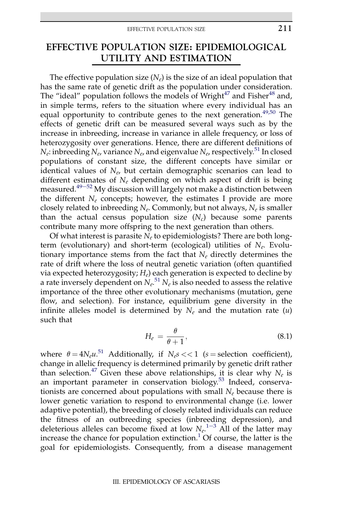### <span id="page-18-0"></span>EFFECTIVE POPULATION SIZE: EPIDEMIOLOGICAL UTILITY AND ESTIMATION

The effective population size  $(N_e)$  is the size of an ideal population that has the same rate of genetic drift as the population under consideration. The "ideal" population follows the models of Wright $47$  and Fisher $48$  and, in simple terms, refers to the situation where every individual has an equal opportunity to contribute genes to the next generation.  $49,50$  The effects of genetic drift can be measured several ways such as by the increase in inbreeding, increase in variance in allele frequency, or loss of heterozygosity over generations. Hence, there are different definitions of  $N_e$ : inbreeding  $N_e$ , variance  $N_e$ , and eigenvalue  $N_e$ , respectively.<sup>[51](#page-35-0)</sup> In closed populations of constant size, the different concepts have similar or identical values of  $N_e$ , but certain demographic scenarios can lead to different estimates of  $N_e$  depending on which aspect of drift is being measured.<sup>49-[52](#page-35-0)</sup> My discussion will largely not make a distinction between the different  $N_e$  concepts; however, the estimates I provide are more closely related to inbreeding  $N_e$ . Commonly, but not always,  $N_e$  is smaller than the actual census population size  $(N_c)$  because some parents contribute many more offspring to the next generation than others.

Of what interest is parasite  $N_e$  to epidemiologists? There are both longterm (evolutionary) and short-term (ecological) utilities of  $N_e$ . Evolutionary importance stems from the fact that  $N_e$  directly determines the rate of drift where the loss of neutral genetic variation (often quantified via expected heterozygosity;  $H_e$ ) each generation is expected to decline by a rate inversely dependent on  $N_e$ ,  $^{51}N_e$  $^{51}N_e$  $^{51}N_e$  is also needed to assess the relative importance of the three other evolutionary mechanisms (mutation, gene flow, and selection). For instance, equilibrium gene diversity in the infinite alleles model is determined by  $N_e$  and the mutation rate  $(u)$ such that

$$
H_e = \frac{\theta}{\theta + 1},\tag{8.1}
$$

where  $\theta = 4N_e u^{51}$  $\theta = 4N_e u^{51}$  $\theta = 4N_e u^{51}$  Additionally, if  $N_e s \ll 1$  (s = selection coefficient), change in allelic frequency is determined primarily by genetic drift rather than selection.<sup>47</sup> Given these above relationships, it is clear why  $N_e$  is an important parameter in conservation biology.<sup>[53](#page-35-0)</sup> Indeed, conservationists are concerned about populations with small  $N_e$  because there is lower genetic variation to respond to environmental change (i.e. lower adaptive potential), the breeding of closely related individuals can reduce the fitness of an outbreeding species (inbreeding depression), and deleterious alleles can become fixed at low  $N_e$ .<sup>[1](#page-33-0)-[3](#page-33-0)</sup> All of the latter may increase the chance for population extinction.<sup>[1](#page-33-0)</sup> Of course, the latter is the goal for epidemiologists. Consequently, from a disease management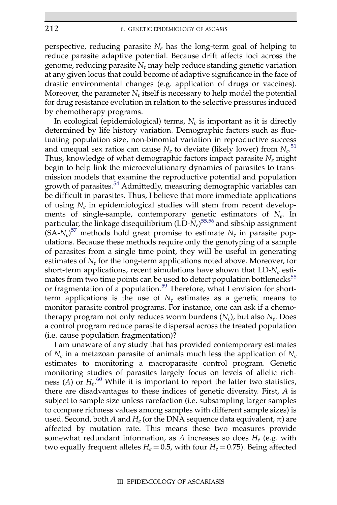perspective, reducing parasite  $N_e$  has the long-term goal of helping to reduce parasite adaptive potential. Because drift affects loci across the genome, reducing parasite  $N_e$  may help reduce standing genetic variation at any given locus that could become of adaptive significance in the face of drastic environmental changes (e.g. application of drugs or vaccines). Moreover, the parameter  $N_e$  itself is necessary to help model the potential for drug resistance evolution in relation to the selective pressures induced by chemotherapy programs.

In ecological (epidemiological) terms,  $N_e$  is important as it is directly determined by life history variation. Demographic factors such as fluctuating population size, non-binomial variation in reproductive success and unequal sex ratios can cause  $N_e$  to deviate (likely lower) from  $N_c$ .<sup>[51](#page-35-0)</sup> Thus, knowledge of what demographic factors impact parasite  $N_e$  might begin to help link the microevolutionary dynamics of parasites to transmission models that examine the reproductive potential and population growth of parasites.<sup>[54](#page-35-0)</sup> Admittedly, measuring demographic variables can be difficult in parasites. Thus, I believe that more immediate applications of using  $N_e$  in epidemiological studies will stem from recent developments of single-sample, contemporary genetic estimators of  $N_e$ . In particular, the linkage disequilibrium  $(LD-N_e)^{55,56}$  $(LD-N_e)^{55,56}$  $(LD-N_e)^{55,56}$  and sibship assignment  $(SA-N_e)^{57}$  $(SA-N_e)^{57}$  $(SA-N_e)^{57}$  methods hold great promise to estimate  $N_e$  in parasite populations. Because these methods require only the genotyping of a sample of parasites from a single time point, they will be useful in generating estimates of  $N_e$  for the long-term applications noted above. Moreover, for short-term applications, recent simulations have shown that  $LD-N_e$  esti-mates from two time points can be used to detect population bottlenecks<sup>[58](#page-36-0)</sup> or fragmentation of a population.<sup>[59](#page-36-0)</sup> Therefore, what I envision for shortterm applications is the use of  $N_e$  estimates as a genetic means to monitor parasite control programs. For instance, one can ask if a chemotherapy program not only reduces worm burdens  $(N_c)$ , but also  $N_c$ . Does a control program reduce parasite dispersal across the treated population (i.e. cause population fragmentation)?

I am unaware of any study that has provided contemporary estimates of  $N_e$  in a metazoan parasite of animals much less the application of  $N_e$ estimates to monitoring a macroparasite control program. Genetic monitoring studies of parasites largely focus on levels of allelic rich- $(A)$  or  $H<sub>e</sub>$ <sup>[60](#page-36-0)</sup> While it is important to report the latter two statistics, there are disadvantages to these indices of genetic diversity. First, A is subject to sample size unless rarefaction (i.e. subsampling larger samples to compare richness values among samples with different sample sizes) is used. Second, both A and  $H_e$  (or the DNA sequence data equivalent,  $\pi$ ) are affected by mutation rate. This means these two measures provide somewhat redundant information, as A increases so does  $H_e$  (e.g. with two equally frequent alleles  $H_e = 0.5$ , with four  $H_e = 0.75$ ). Being affected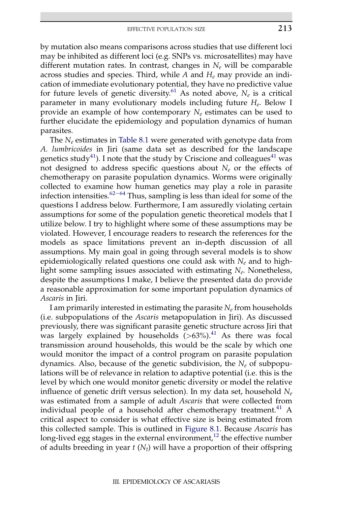by mutation also means comparisons across studies that use different loci may be inhibited as different loci (e.g. SNPs vs. microsatellites) may have different mutation rates. In contrast, changes in  $N_e$  will be comparable across studies and species. Third, while A and  $H_e$  may provide an indication of immediate evolutionary potential, they have no predictive value for future levels of genetic diversity.<sup>[61](#page-36-0)</sup> As noted above,  $N_e$  is a critical parameter in many evolutionary models including future  $H<sub>e</sub>$ . Below I provide an example of how contemporary  $N_e$  estimates can be used to further elucidate the epidemiology and population dynamics of human parasites.

The  $N_e$  estimates in [Table 8.1](#page-21-0) were generated with genotype data from A. lumbricoides in Jiri (same data set as described for the landscape genetics study<sup>[41](#page-35-0)</sup>). I note that the study by Criscione and colleagues<sup>41</sup> was not designed to address specific questions about  $N_e$  or the effects of chemotherapy on parasite population dynamics. Worms were originally collected to examine how human genetics may play a role in parasite infection intensities. $62-64$  $62-64$  $62-64$  Thus, sampling is less than ideal for some of the questions I address below. Furthermore, I am assuredly violating certain assumptions for some of the population genetic theoretical models that I utilize below. I try to highlight where some of these assumptions may be violated. However, I encourage readers to research the references for the models as space limitations prevent an in-depth discussion of all assumptions. My main goal in going through several models is to show epidemiologically related questions one could ask with  $N_e$  and to highlight some sampling issues associated with estimating  $N_e$ . Nonetheless, despite the assumptions I make, I believe the presented data do provide a reasonable approximation for some important population dynamics of Ascaris in Jiri.

I am primarily interested in estimating the parasite  $N_e$  from households (i.e. subpopulations of the Ascaris metapopulation in Jiri). As discussed previously, there was significant parasite genetic structure across Jiri that was largely explained by households  $(>63%)$ .<sup>[41](#page-35-0)</sup> As there was focal transmission around households, this would be the scale by which one would monitor the impact of a control program on parasite population dynamics. Also, because of the genetic subdivision, the  $N_e$  of subpopulations will be of relevance in relation to adaptive potential (i.e. this is the level by which one would monitor genetic diversity or model the relative influence of genetic drift versus selection). In my data set, household  $N_e$ was estimated from a sample of adult Ascaris that were collected from individual people of a household after chemotherapy treatment.<sup>[41](#page-35-0)</sup> A critical aspect to consider is what effective size is being estimated from this collected sample. This is outlined in [Figure 8.1.](#page-23-0) Because Ascaris has long-lived egg stages in the external environment, $12$  the effective number of adults breeding in year  $t(N_t)$  will have a proportion of their offspring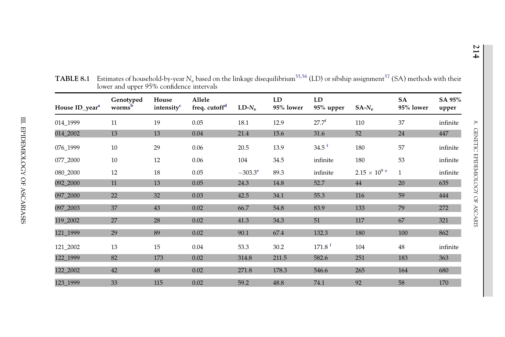| House ID_year <sup>a</sup> | Genotyped<br>worms <sup>b</sup> | House<br>intensity <sup>c</sup> | Allele<br>freq. cutoff <sup>d</sup> | $LD-N_e$         | LD<br>95% lower | LD.<br>95% upper     | $SA-N_e$             | <b>SA</b><br>95% lower | SA 95%<br>upper |
|----------------------------|---------------------------------|---------------------------------|-------------------------------------|------------------|-----------------|----------------------|----------------------|------------------------|-----------------|
| 014_1999                   | 11                              | 19                              | 0.05                                | 18.1             | 12.9            | $27.7^{f}$           | 110                  | 37                     | infinite        |
| 014_2002                   | 13                              | 13                              | 0.04                                | 21.4             | 15.6            | 31.6                 | 52                   | 24                     | 447             |
| 076_1999                   | 10                              | 29                              | 0.06                                | 20.5             | 13.9            | $34.5$ <sup>f</sup>  | 180                  | 57                     | infinite        |
| 077_2000                   | 10                              | 12                              | 0.06                                | 104              | 34.5            | infinite             | 180                  | 53                     | infinite        |
| 080_2000                   | 12                              | 18                              | 0.05                                | $-303.3^{\circ}$ | 89.3            | infinite             | $2.15 \times 10^9$ e | $\mathbf{1}$           | infinite        |
| 092_2000                   | 11                              | 13                              | 0.05                                | 24.3             | 14.8            | 52.7                 | 44                   | 20                     | 635             |
| 097_2000                   | 22                              | 32                              | 0.03                                | 42.5             | 34.1            | 55.3                 | 116                  | 59                     | 444             |
| 097_2003                   | 37                              | 43                              | 0.02                                | 66.7             | 54.8            | 83.9                 | 133                  | 79                     | 272             |
| 119_2002                   | 27                              | 28                              | 0.02                                | 41.3             | 34.3            | 51                   | 117                  | 67                     | 321             |
| 121_1999                   | 29                              | 89                              | 0.02                                | 90.1             | 67.4            | 132.3                | 180                  | 100                    | 862             |
| 121_2002                   | 13                              | 15                              | 0.04                                | 53.3             | 30.2            | $171.8$ <sup>f</sup> | 104                  | 48                     | infinite        |
| 122_1999                   | 82                              | 173                             | 0.02                                | 314.8            | 211.5           | 582.6                | 251                  | 183                    | 363             |
| 122_2002                   | 42                              | 48                              | 0.02                                | 271.8            | 178.3           | 546.6                | 265                  | 164                    | 680             |
| 123_1999                   | 33                              | 115                             | 0.02                                | 59.2             | 48.8            | 74.1                 | 92                   | 58                     | 170             |

<span id="page-21-0"></span><code>TABLE 8.1 </code> Estimates of household-by-year N<sub>e</sub> based on the linkage disequilibrium $^{55,56}$  $^{55,56}$  $^{55,56}$  (LD) or sibship assignment $^{57}$  $^{57}$  $^{57}$  (SA) methods with their lower and upper 95% confidence intervals

 $\infty$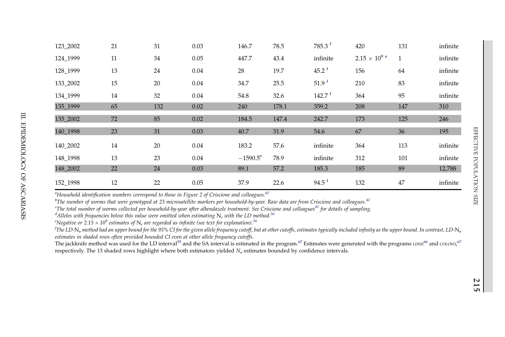| 123_2002 | 21 | 31  | 0.03 | 146.7             | 78.5  | $785.3$ <sup>f</sup> | 420                    | 131          | infinite |
|----------|----|-----|------|-------------------|-------|----------------------|------------------------|--------------|----------|
| 124_1999 | 11 | 34  | 0.05 | 447.7             | 43.4  | infinite             | $2.15 \times 10^{9}$ e | $\mathbf{1}$ | infinite |
| 128_1999 | 13 | 24  | 0.04 | 28                | 19.7  | $45.2$ <sup>f</sup>  | 156                    | 64           | infinite |
| 133_2002 | 15 | 20  | 0.04 | 34.7              | 25.5  | 51.9 <sup>f</sup>    | 210                    | 83           | infinite |
| 134_1999 | 14 | 32  | 0.04 | 54.8              | 32.6  | $142.7$ <sup>f</sup> | 364                    | 95           | infinite |
| 135_1999 | 65 | 132 | 0.02 | 240               | 178.1 | 359.2                | 208                    | 147          | 310      |
| 135_2002 | 72 | 85  | 0.02 | 184.5             | 147.4 | 242.7                | 173                    | 125          | 246      |
| 140_1998 | 23 | 31  | 0.03 | 40.7              | 31.9  | 54.6                 | 67                     | 36           | 195      |
| 140_2002 | 14 | 20  | 0.04 | 183.2             | 57.6  | infinite             | 364                    | 113          | infinite |
| 148_1998 | 13 | 23  | 0.04 | $-1590.5^{\circ}$ | 78.9  | infinite             | 312                    | 101          | infinite |
| 148_2002 | 22 | 24  | 0.03 | 89.1              | 57.2  | 185.3                | 185                    | 89           | 12,788   |
| 152_1998 | 12 | 22  | 0.05 | 37.9              | 22.6  | $94.5$ <sup>f</sup>  | 132                    | 47           | infinite |

 $\textsuperscript{a}$ Household identification numbers correspond to those in Figure 2 of Criscione and colleagues.<sup>[41](#page-35-0)</sup>

 $b$ The number of worms that were genotyped at 23 microsatellite markers per household-by-year. Raw data are from Criscione and colleagues.<sup>[41](#page-35-0)</sup>

<sup>c</sup>The total number of worms collected per household-by-year after albendazole treatment. See Criscione and colleagues<sup>[41](#page-35-0)</sup> for details of sampling.

 $^d$ Alleles with frequencies below this value were omitted when estimating  $\rm N_{\it e}$  with the LD method. $^{56}$  $^{56}$  $^{56}$ 

<sup>e</sup>Negative or 2.15  $\times$  10<sup>9</sup> estimates of N<sub>e</sub> are regarded as infinite (see text for explanation). <sup>[56](#page-36-0)</sup>

 $^f$ The LD-N<sub>e</sub> method had an upper bound for the 95% CI for the given allele frequency cutoff, but at other cutoffs, estimates typically included infinity as the upper bound. In contrast, LD-N<sub>e</sub> estimates in shaded rows often provided bounded CI even at other allele frequency cutoffs.

The jackknife method was used for the LD interval<sup>[55](#page-36-0)</sup> and the SA interval is estimated in the program.<sup>[67](#page-36-0)</sup> Estimates were generated with the programs LDNE<sup>[66](#page-36-0)</sup> and COLONY,<sup>67</sup> respectively. The 13 shaded rows highlight where both estimators yielded  $N_e$  estimates bounded by confidence intervals.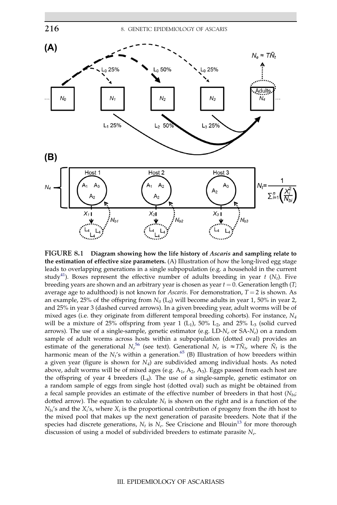<span id="page-23-0"></span>

FIGURE 8.1 Diagram showing how the life history of Ascaris and sampling relate to the estimation of effective size parameters. (A) Illustration of how the long-lived egg stage leads to overlapping generations in a single subpopulation (e.g. a household in the current study<sup>41</sup>). Boxes represent the effective number of adults breeding in year t (N<sub>t</sub>). Five breeding years are shown and an arbitrary year is chosen as year  $t = 0$ . Generation length (T; average age to adulthood) is not known for *Ascaris*. For demonstration,  $T = 2$  is shown. As an example, 25% of the offspring from  $N_0$  (L<sub>0</sub>) will become adults in year 1, 50% in year 2, and 25% in year 3 (dashed curved arrows). In a given breeding year, adult worms will be of mixed ages (i.e. they originate from different temporal breeding cohorts). For instance,  $N_4$ will be a mixture of 25% offspring from year 1  $(L_1)$ , 50%  $L_2$ , and 25%  $L_3$  (solid curved arrows). The use of a single-sample, genetic estimator (e.g.  $LD-N_e$  or  $SA-N_e$ ) on a random sample of adult worms across hosts within a subpopulation (dotted oval) provides an estimate of the generational  $N_e^{56}$  (see text). Generational  $N_e$  is  $\approx T\tilde{N}_t$ , where  $\tilde{N}_t$  is the harmonic mean of the  $N_t$ 's wit[hin](#page-36-0) a generation.<sup>[65](#page-36-0)</sup> (B) Illustration of how breeders within a given year (figure is shown for  $N_4$ ) are subdivided among individual hosts. As noted above, adult worms will be of mixed ages (e.g.  $A_1$ ,  $A_2$ ,  $A_3$ ). Eggs passed from each host are the offspring of year 4 breeders  $(L<sub>4</sub>)$ . The use of a single-sample, genetic estimator on a random sample of eggs from single host (dotted oval) such as might be obtained from a fecal sample provides an estimate of the effective number of breeders in that host  $(N_{bi};$ dotted arrow). The equation to calculate  $N_t$  is shown on the right and is a function of the  $N_{bi}$ 's and the  $X_i$ 's, where  $X_i$  is the proportional contribution of progeny from the *i*th host to the mixed pool that makes up the next generation of parasite breeders. Note that if the species had discrete generations,  $N_t$  is  $N_e$ . See Criscione and Blouin<sup>[13](#page-34-0)</sup> for more thorough discussion of using a model of subdivided breeders to estimate parasite  $N_e$ .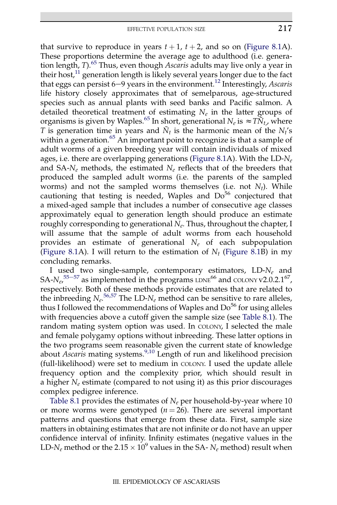that survive to reproduce in years  $t + 1$ ,  $t + 2$ , and so on [\(Figure 8.1](#page-23-0)A). These proportions determine the average age to adulthood (i.e. generation length,  $T$ ).<sup>[65](#page-36-0)</sup> Thus, even though *Ascaris* adults may live only a year in their host, $^{11}$  generation length is likely several years longer due to the fact that eggs can persist  $6-9$  years in the environment.<sup>[12](#page-34-0)</sup> Interestingly, Ascaris life history closely approximates that of semelparous, age-structured species such as annual plants with seed banks and Pacific salmon. A detailed theoretical treatment of estimating  $N_e$  in the latter groups of organisms is given by Waples.<sup>[65](#page-36-0)</sup> In short, generational  $N_e$  is  $\approx T\tilde{N}_t$ , where T is generation time in years and  $\tilde{N}_t$  is the harmonic mean of the  $N_t$ 's within a generation. $65$  An important point to recognize is that a sample of adult worms of a given breeding year will contain individuals of mixed ages, i.e. there are overlapping generations ([Figure 8.1](#page-23-0)A). With the  $LD-N_e$ and SA- $N_e$  methods, the estimated  $N_e$  reflects that of the breeders that produced the sampled adult worms (i.e. the parents of the sampled worms) and not the sampled worms themselves (i.e. not  $N_t$ ). While cautioning that testing is needed, Waples and  $Do^{56}$  conjectured that a mixed-aged sample that includes a number of consecutive age classes approximately equal to generation length should produce an estimate roughly corresponding to generational  $N_e$ . Thus, throughout the chapter, I will assume that the sample of adult worms from each household provides an estimate of generational  $N_e$  of each subpopulation [\(Figure 8.1](#page-23-0)A). I will return to the estimation of  $N_t$  ([Figure 8.1](#page-23-0)B) in my concluding remarks.

I used two single-sample, contemporary estimators,  $LD-N_e$  and  $SA-N_{e}^{55-57}$  $SA-N_{e}^{55-57}$  $SA-N_{e}^{55-57}$  $SA-N_{e}^{55-57}$  $SA-N_{e}^{55-57}$  as implemented in the programs LDNE<sup>66</sup> and COLONY v2.0.2.1<sup>67</sup>, respectively. Both of these methods provide estimates that are related to the inbreeding  $N_e$ .<sup>[56,57](#page-36-0)</sup> The LD- $N_e$  method can be sensitive to rare alleles, thus I followed the recommendations of Waples and  $Do<sup>56</sup>$  for using alleles with frequencies above a cutoff given the sample size (see [Table 8.1](#page-21-0)). The random mating system option was used. In COLONY, I selected the male and female polygamy options without inbreeding. These latter options in the two programs seem reasonable given the current state of knowledge about  $\overrightarrow{Ascaris}$  mating systems.<sup>[9,10](#page-34-0)</sup> Length of run and likelihood precision (full-likelihood) were set to medium in COLONY. I used the update allele frequency option and the complexity prior, which should result in a higher  $N_e$  estimate (compared to not using it) as this prior discourages complex pedigree inference.

[Table 8.1](#page-21-0) provides the estimates of  $N_e$  per household-by-year where 10 or more worms were genotyped ( $n = 26$ ). There are several important patterns and questions that emerge from these data. First, sample size matters in obtaining estimates that are not infinite or do not have an upper confidence interval of infinity. Infinity estimates (negative values in the LD-N<sub>e</sub> method or the 2.15  $\times$  10<sup>9</sup> values in the SA- N<sub>e</sub> method) result when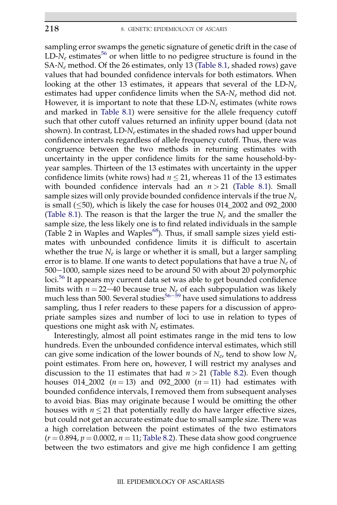sampling error swamps the genetic signature of genetic drift in the case of LD- $N_e$  estimates<sup>[56](#page-36-0)</sup> or when little to no pedigree structure is found in the  $SA-N<sub>e</sub>$  method. Of the 26 estimates, only 13 [\(Table 8.1,](#page-21-0) shaded rows) gave values that had bounded confidence intervals for both estimators. When looking at the other 13 estimates, it appears that several of the  $LD-N_e$ estimates had upper confidence limits when the  $SA-N_e$  method did not. However, it is important to note that these  $LD-N_e$  estimates (white rows and marked in [Table 8.1](#page-21-0)) were sensitive for the allele frequency cutoff such that other cutoff values returned an infinity upper bound (data not shown). In contrast,  $LD-N_e$  estimates in the shaded rows had upper bound confidence intervals regardless of allele frequency cutoff. Thus, there was congruence between the two methods in returning estimates with uncertainty in the upper confidence limits for the same household-byyear samples. Thirteen of the 13 estimates with uncertainty in the upper confidence limits (white rows) had  $n \leq 21$ , whereas 11 of the 13 estimates with bounded confidence intervals had an  $n > 21$  [\(Table 8.1\)](#page-21-0). Small sample sizes will only provide bounded confidence intervals if the true  $N_e$ is small  $(\leq 50)$ , which is likely the case for houses 014\_2002 and 092\_2000 ([Table 8.1](#page-21-0)). The reason is that the larger the true  $N_e$  and the smaller the sample size, the less likely one is to find related individuals in the sample (Table 2 in Waples and Waples<sup>68</sup>). Thus, if small sample sizes yield estimates with unbounded confidence limits it is difficult to ascertain whether the true  $N_e$  is large or whether it is small, but a larger sampling error is to blame. If one wants to detect populations that have a true  $N_e$  of  $500-1000$ , sample sizes need to be around  $50$  with about 20 polymorphic loci.<sup>[56](#page-36-0)</sup> It appears my current data set was able to get bounded confidence limits with  $n = 22-40$  because true  $N_e$  of each subpopulation was likely much less than 500. Several studies<sup>[56](#page-36-0)-[59](#page-36-0)</sup> have used simulations to address sampling, thus I refer readers to these papers for a discussion of appropriate samples sizes and number of loci to use in relation to types of questions one might ask with  $N_e$  estimates.

Interestingly, almost all point estimates range in the mid tens to low hundreds. Even the unbounded confidence interval estimates, which still can give some indication of the lower bounds of  $N_e$ , tend to show low  $N_e$ point estimates. From here on, however, I will restrict my analyses and discussion to the 11 estimates that had  $n > 21$  ([Table 8.2](#page-26-0)). Even though houses 014\_2002 ( $n = 13$ ) and 092\_2000 ( $n = 11$ ) had estimates with bounded confidence intervals, I removed them from subsequent analyses to avoid bias. Bias may originate because I would be omitting the other houses with  $n \leq 21$  that potentially really do have larger effective sizes, but could not get an accurate estimate due to small sample size. There was a high correlation between the point estimates of the two estimators  $(r = 0.894, p = 0.0002, n = 11$ ; [Table 8.2](#page-26-0)). These data show good congruence between the two estimators and give me high confidence I am getting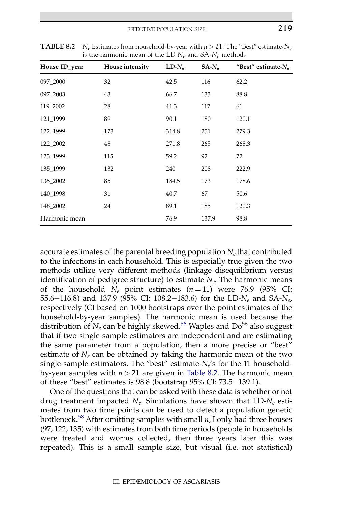| to the narmonic mean of the $ED/T_{\rho}$ and $O(T_{\rho})$ includes |                 |          |         |                        |  |  |  |
|----------------------------------------------------------------------|-----------------|----------|---------|------------------------|--|--|--|
| House ID_year                                                        | House intensity | $LD-N_e$ | $SA-Ne$ | "Best" estimate- $N_e$ |  |  |  |
| 097_2000                                                             | 32              | 42.5     | 116     | 62.2                   |  |  |  |
| 097 2003                                                             | 43              | 66.7     | 133     | 88.8                   |  |  |  |
| 119_2002                                                             | 28              | 41.3     | 117     | 61                     |  |  |  |
| 121_1999                                                             | 89              | 90.1     | 180     | 120.1                  |  |  |  |
| 122_1999                                                             | 173             | 314.8    | 251     | 279.3                  |  |  |  |
| 122 2002                                                             | 48              | 271.8    | 265     | 268.3                  |  |  |  |
| 123_1999                                                             | 115             | 59.2     | 92      | 72                     |  |  |  |
| 135_1999                                                             | 132             | 240      | 208     | 222.9                  |  |  |  |
| 135 2002                                                             | 85              | 184.5    | 173     | 178.6                  |  |  |  |
| 140_1998                                                             | 31              | 40.7     | 67      | 50.6                   |  |  |  |
| 148_2002                                                             | 24              | 89.1     | 185     | 120.3                  |  |  |  |
| Harmonic mean                                                        |                 | 76.9     | 137.9   | 98.8                   |  |  |  |

<span id="page-26-0"></span>**TABLE 8.2** N<sub>e</sub> Estimates from household-by-year with  $n > 21$ . The "Best" estimate-N<sub>e</sub> is the harmonic mean of the  $LD-N$  and  $SA-N$  methods

accurate estimates of the parental breeding population  $N_e$  that contributed to the infections in each household. This is especially true given the two methods utilize very different methods (linkage disequilibrium versus identification of pedigree structure) to estimate  $N_e$ . The harmonic means of the household  $N_e$  point estimates  $(n = 11)$  were 76.9 (95% CI: 55.6–116.8) and 137.9 (95% CI: 108.2–183.6) for the LD-N<sub>e</sub> and SA-N<sub>e</sub>, respectively (CI based on 1000 bootstraps over the point estimates of the household-by-year samples). The harmonic mean is used because the distribution of  $N_e$  can be highly skewed.<sup>[56](#page-36-0)</sup> Waples and Do<sup>56</sup> also suggest that if two single-sample estimators are independent and are estimating the same parameter from a population, then a more precise or "best" estimate of  $N_e$  can be obtained by taking the harmonic mean of the two single-sample estimators. The "best" estimate- $N_e$ 's for the 11 householdby-year samples with  $n > 21$  are given in Table 8.2. The harmonic mean of these "best" estimates is  $98.8$  (bootstrap  $95\%$  CI:  $73.5-139.1$ ).

One of the questions that can be asked with these data is whether or not drug treatment impacted  $N_e$ . Simulations have shown that LD- $N_e$  estimates from two time points can be used to detect a population genetic bottleneck.<sup>[58](#page-36-0)</sup> After omitting samples with small  $n$ , I only had three houses (97, 122, 135) with estimates from both time periods (people in households were treated and worms collected, then three years later this was repeated). This is a small sample size, but visual (i.e. not statistical)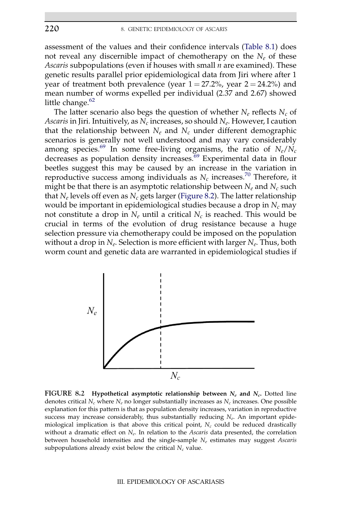assessment of the values and their confidence intervals [\(Table 8.1\)](#page-21-0) does not reveal any discernible impact of chemotherapy on the  $N_e$  of these Ascaris subpopulations (even if houses with small  $n$  are examined). These genetic results parallel prior epidemiological data from Jiri where after 1 year of treatment both prevalence (year  $1 = 27.2\%$ , year  $2 = 24.2\%$ ) and mean number of worms expelled per individual (2.37 and 2.67) showed little change. $62$ 

The latter scenario also begs the question of whether  $N_e$  reflects  $N_c$  of Ascaris in Jiri. Intuitively, as  $N_c$  increases, so should  $N_e$ . However, I caution that the relationship between  $N_e$  and  $N_c$  under different demographic scenarios is generally not well understood and may vary considerably among species.<sup>[69](#page-36-0)</sup> In some free-living organisms, the ratio of  $N_e/N_c$ decreases as population density increases.<sup>[69](#page-36-0)</sup> Experimental data in flour beetles suggest this may be caused by an increase in the variation in reproductive success among individuals as  $N_c$  increases.<sup>[70](#page-36-0)</sup> Therefore, it might be that there is an asymptotic relationship between  $N_e$  and  $N_c$  such that  $N_e$  levels off even as  $N_c$  gets larger (Figure 8.2). The latter relationship would be important in epidemiological studies because a drop in  $N_c$  may not constitute a drop in  $N_e$  until a critical  $N_c$  is reached. This would be crucial in terms of the evolution of drug resistance because a huge selection pressure via chemotherapy could be imposed on the population without a drop in  $N_e$ . Selection is more efficient with larger  $N_e$ . Thus, both worm count and genetic data are warranted in epidemiological studies if



FIGURE 8.2 Hypothetical asymptotic relationship between  $N_e$  and  $N_c$ . Dotted line denotes critical  $N_c$  where  $N_e$  no longer substantially increases as  $N_c$  increases. One possible explanation for this pattern is that as population density increases, variation in reproductive success may increase considerably, thus substantially reducing  $N_e$ . An important epidemiological implication is that above this critical point,  $N_c$  could be reduced drastically without a dramatic effect on  $N_e$ . In relation to the *Ascaris* data presented, the correlation between household intensities and the single-sample  $N_e$  estimates may suggest Ascaris subpopulations already exist below the critical  $N_c$  value.

<span id="page-27-0"></span>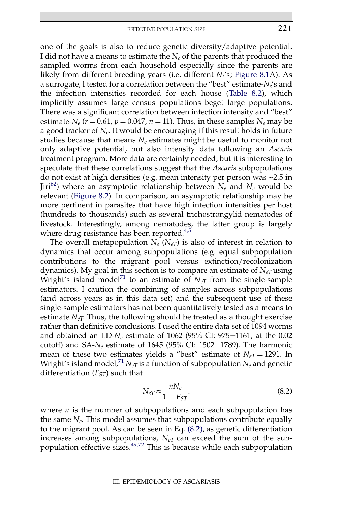<span id="page-28-0"></span>one of the goals is also to reduce genetic diversity/adaptive potential. I did not have a means to estimate the  $N_c$  of the parents that produced the sampled worms from each household especially since the parents are likely from different breeding years (i.e. different  $N_t$ 's; [Figure 8.1](#page-23-0)A). As a surrogate, I tested for a correlation between the "best" estimate- $N_e$ 's and the infection intensities recorded for each house [\(Table 8.2](#page-26-0)), which implicitly assumes large census populations beget large populations. There was a significant correlation between infection intensity and "best" estimate- $N_e$  ( $r = 0.61$ ,  $p = 0.047$ ,  $n = 11$ ). Thus, in these samples  $N_e$  may be a good tracker of  $N_c$ . It would be encouraging if this result holds in future studies because that means  $N_e$  estimates might be useful to monitor not only adaptive potential, but also intensity data following an Ascaris treatment program. More data are certainly needed, but it is interesting to speculate that these correlations suggest that the Ascaris subpopulations do not exist at high densities (e.g. mean intensity per person was ~2.5 in Jiri<sup>[62](#page-36-0)</sup>) where an asymptotic relationship between  $N_e$  and  $N_c$  would be relevant ([Figure 8.2](#page-27-0)). In comparison, an asymptotic relationship may be more pertinent in parasites that have high infection intensities per host (hundreds to thousands) such as several trichostrongylid nematodes of livestock. Interestingly, among nematodes, the latter group is largely where drug resistance has been reported.<sup>[4,5](#page-33-0)</sup>

The overall metapopulation  $N_e$  ( $N_{eT}$ ) is also of interest in relation to dynamics that occur among subpopulations (e.g. equal subpopulation contributions to the migrant pool versus extinction/recolonization dynamics). My goal in this section is to compare an estimate of  $N_{eT}$  using Wright's island model<sup>[71](#page-36-0)</sup> to an estimate of  $N_{eT}$  from the single-sample estimators. I caution the combining of samples across subpopulations (and across years as in this data set) and the subsequent use of these single-sample estimators has not been quantitatively tested as a means to estimate  $N_{eT}$ . Thus, the following should be treated as a thought exercise rather than definitive conclusions. I used the entire data set of 1094 worms and obtained an LD- $N_e$  estimate of 1062 (95% CI: 975–1161, at the 0.02 cutoff) and SA- $N_e$  estimate of 1645 (95% CI: 1502–1789). The harmonic mean of these two estimates yields a "best" estimate of  $N_{eT} = 1291$ . In Wright's island model,<sup>[71](#page-36-0)</sup>  $N_{eT}$  is a function of subpopulation  $N_e$  and genetic differentiation  $(F_{ST})$  such that

$$
N_{eT} \approx \frac{nN_e}{1 - F_{ST}},\tag{8.2}
$$

where  $n$  is the number of subpopulations and each subpopulation has the same  $N_e$ . This model assumes that subpopulations contribute equally to the migrant pool. As can be seen in Eq. (8.2), as genetic differentiation increases among subpopulations,  $N_{eT}$  can exceed the sum of the subpopulation effective sizes. $49,72$  This is because while each subpopulation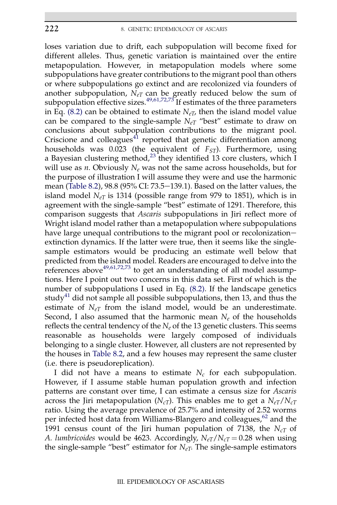loses variation due to drift, each subpopulation will become fixed for different alleles. Thus, genetic variation is maintained over the entire metapopulation. However, in metapopulation models where some subpopulations have greater contributions to the migrant pool than others or where subpopulations go extinct and are recolonized via founders of another subpopulation,  $N_{eT}$  can be greatly reduced below the sum of subpopulation effective sizes.  $49,61,72,73$  If estimates of the three parameters in Eq. [\(8.2\)](#page-28-0) can be obtained to estimate  $N_{eT}$ , then the island model value can be compared to the single-sample  $N_{eT}$  "best" estimate to draw on conclusions about subpopulation contributions to the migrant pool. Criscione and colleagues $4^1$  reported that genetic differentiation among households was 0.023 (the equivalent of  $F_{ST}$ ). Furthermore, using a Bayesian clustering method,<sup>[23](#page-34-0)</sup> they identified 13 core clusters, which I will use as *n*. Obviously  $N_e$  was not the same across households, but for the purpose of illustration I will assume they were and use the harmonic mean ([Table 8.2\)](#page-26-0), 98.8 (95% CI:  $73.5-139.1$ ). Based on the latter values, the island model  $N_{eT}$  is 1314 (possible range from 979 to 1851), which is in agreement with the single-sample "best" estimate of 1291. Therefore, this comparison suggests that Ascaris subpopulations in Jiri reflect more of Wright island model rather than a metapopulation where subpopulations have large unequal contributions to the migrant pool or recolonizationextinction dynamics. If the latter were true, then it seems like the singlesample estimators would be producing an estimate well below that predicted from the island model. Readers are encouraged to delve into the references above<sup>[49,61,72,73](#page-35-0)</sup> to get an understanding of all model assumptions. Here I point out two concerns in this data set. First of which is the number of subpopulations I used in Eq. [\(8.2\)](#page-28-0). If the landscape genetics study<sup>[41](#page-35-0)</sup> did not sample all possible subpopulations, then 13, and thus the estimate of  $N_{eT}$  from the island model, would be an underestimate. Second, I also assumed that the harmonic mean  $N_e$  of the households reflects the central tendency of the  $N_e$  of the 13 genetic clusters. This seems reasonable as households were largely composed of individuals belonging to a single cluster. However, all clusters are not represented by the houses in [Table 8.2](#page-26-0), and a few houses may represent the same cluster (i.e. there is pseudoreplication).

I did not have a means to estimate  $N_c$  for each subpopulation. However, if I assume stable human population growth and infection patterns are constant over time, I can estimate a census size for Ascaris across the Jiri metapopulation ( $N_{cT}$ ). This enables me to get a  $N_{eT}/N_{cT}$ ratio. Using the average prevalence of 25.7% and intensity of 2.52 worms per infected host data from Williams-Blangero and colleagues,<sup>[62](#page-36-0)</sup> and the 1991 census count of the Jiri human population of 7138, the  $N_{cT}$  of A. lumbricoides would be 4623. Accordingly,  $N_{eT}/N_{cT} = 0.28$  when using the single-sample "best" estimator for  $N_{eT}$ . The single-sample estimators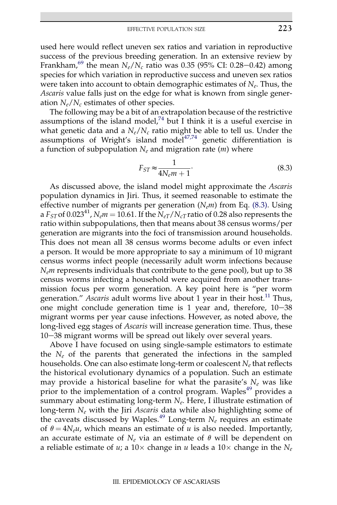used here would reflect uneven sex ratios and variation in reproductive success of the previous breeding generation. In an extensive review by Frankham,<sup>[69](#page-36-0)</sup> the mean  $N_e/N_c$  ratio was 0.35 (95% CI: 0.28–0.42) among species for which variation in reproductive success and uneven sex ratios were taken into account to obtain demographic estimates of  $N_e$ . Thus, the Ascaris value falls just on the edge for what is known from single generation  $N_e/N_c$  estimates of other species.

The following may be a bit of an extrapolation because of the restrictive assumptions of the island model, $^{74}$  $^{74}$  $^{74}$  but I think it is a useful exercise in what genetic data and a  $N_e/N_c$  ratio might be able to tell us. Under the assumptions of Wright's island model<sup>[47,74](#page-35-0)</sup> genetic differentiation is a function of subpopulation  $N_e$  and migration rate (*m*) where

$$
F_{ST} \approx \frac{1}{4N_e m + 1}.\tag{8.3}
$$

As discussed above, the island model might approximate the Ascaris population dynamics in Jiri. Thus, it seemed reasonable to estimate the effective number of migrants per generation  $(N<sub>e</sub>m)$  from Eq. (8.3). Using a  $F_{ST}$  of 0.023<sup>41</sup>,  $N_e m = 10.61$ . If the  $N_{eT}/N_{cT}$  ratio of 0.28 also represents the ratio within subpopulations, then that means about 38 census worms/per generation are migrants into the foci of transmission around households. This does not mean all 38 census worms become adults or even infect a person. It would be more appropriate to say a minimum of 10 migrant census worms infect people (necessarily adult worm infections because  $N_{e}m$  represents individuals that contribute to the gene pool), but up to 38 census worms infecting a household were acquired from another transmission focus per worm generation. A key point here is "per worm generation." Ascaris adult worms live about 1 year in their host.<sup>[11](#page-34-0)</sup> Thus, one might conclude generation time is 1 year and, therefore,  $10-38$ migrant worms per year cause infections. However, as noted above, the long-lived egg stages of *Ascaris* will increase generation time. Thus, these  $10-38$  migrant worms will be spread out likely over several years.

Above I have focused on using single-sample estimators to estimate the  $N_e$  of the parents that generated the infections in the sampled households. One can also estimate long-term or coalescent  $N_e$  that reflects the historical evolutionary dynamics of a population. Such an estimate may provide a historical baseline for what the parasite's  $N_e$  was like prior to the implementation of a control program. Waples<sup>[49](#page-35-0)</sup> provides a summary about estimating long-term  $N_e$ . Here, I illustrate estimation of long-term  $N_e$  with the Jiri Ascaris data while also highlighting some of the caveats discussed by Waples.<sup>[49](#page-35-0)</sup> Long-term  $N_e$  requires an estimate of  $\theta = 4N_e u$ , which means an estimate of u is also needed. Importantly, an accurate estimate of  $N_e$  via an estimate of  $\theta$  will be dependent on a reliable estimate of u; a 10 $\times$  change in u leads a 10 $\times$  change in the  $N_e$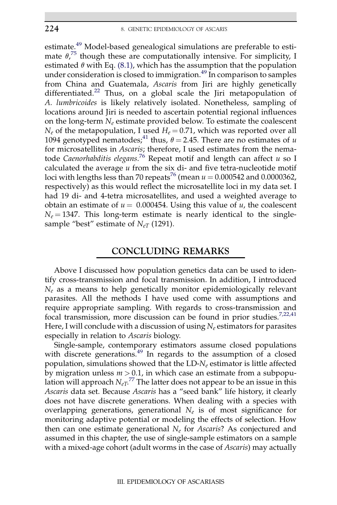estimate.<sup>[49](#page-35-0)</sup> Model-based genealogical simulations are preferable to estimate  $\theta$ ,<sup>[75](#page-36-0)</sup> though these are computationally intensive. For simplicity, I estimated  $\theta$  with Eq. [\(8.1\)](#page-18-0), which has the assumption that the population under consideration is closed to immigration.<sup>[49](#page-35-0)</sup> In comparison to samples from China and Guatemala, Ascaris from Jiri are highly genetically differentiated.<sup>[22](#page-34-0)</sup> Thus, on a global scale the Jiri metapopulation of A. lumbricoides is likely relatively isolated. Nonetheless, sampling of locations around Jiri is needed to ascertain potential regional influences on the long-term  $N_e$  estimate provided below. To estimate the coalescent  $N_e$  of the metapopulation, I used  $H_e = 0.71$ , which was reported over all 1094 genotyped nematodes;<sup>[41](#page-35-0)</sup> thus,  $\theta = 2.45$ . There are no estimates of u for microsatellites in Ascaris; therefore, I used estimates from the nematode *Caenorhabditis elegans*.<sup>[76](#page-36-0)</sup> Repeat motif and length can affect *u* so I calculated the average  $u$  from the six di- and five tetra-nucleotide motif loci with lengths less than 70 repeats<sup>[76](#page-36-0)</sup> (mean  $u = 0.000542$  and 0.0000362, respectively) as this would reflect the microsatellite loci in my data set. I had 19 di- and 4-tetra microsatellites, and used a weighted average to obtain an estimate of  $u = 0.000454$ . Using this value of u, the coalescent  $N_e = 1347$ . This long-term estimate is nearly identical to the singlesample "best" estimate of  $N_{eT}$  (1291).

### CONCLUDING REMARKS

Above I discussed how population genetics data can be used to identify cross-transmission and focal transmission. In addition, I introduced  $N_e$  as a means to help genetically monitor epidemiologically relevant parasites. All the methods I have used come with assumptions and require appropriate sampling. With regards to cross-transmission and focal transmission, more discussion can be found in prior studies.<sup>[7,22,41](#page-33-0)</sup> Here, I will conclude with a discussion of using  $N_e$  estimators for parasites especially in relation to Ascaris biology.

Single-sample, contemporary estimators assume closed populations with discrete generations.<sup>[49](#page-35-0)</sup> In regards to the assumption of a closed population, simulations showed that the  $LD-N_e$  estimator is little affected by migration unless  $m > 0.1$ , in which case an estimate from a subpopulation will approach  $N_{eT}$ <sup>[77](#page-37-0)</sup> The latter does not appear to be an issue in this Ascaris data set. Because Ascaris has a "seed bank" life history, it clearly does not have discrete generations. When dealing with a species with overlapping generations, generational  $N_e$  is of most significance for monitoring adaptive potential or modeling the effects of selection. How then can one estimate generational  $N_e$  for Ascaris? As conjectured and assumed in this chapter, the use of single-sample estimators on a sample with a mixed-age cohort (adult worms in the case of *Ascaris*) may actually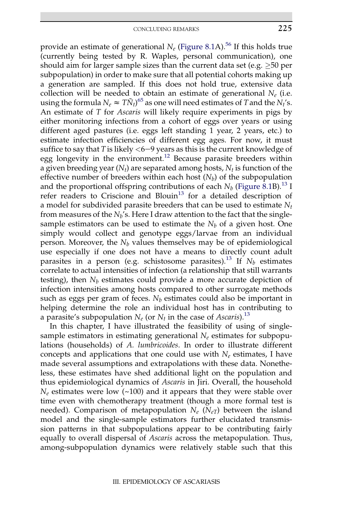provide an estimate of generational  $N_e$  [\(Figure 8.1](#page-23-0)A).<sup>[56](#page-36-0)</sup> If this holds true (currently being tested by R. Waples, personal communication), one should aim for larger sample sizes than the current data set (e.g.  $\geq 50$  per subpopulation) in order to make sure that all potential cohorts making up a generation are sampled. If this does not hold true, extensive data collection will be needed to obtain an estimate of generational  $N_e$  (i.e. using the formula  $N_e \approx T \tilde{N}_t$ <sup>[65](#page-36-0)</sup> as one will need estimates of T and the  $N_t$ 's. An estimate of T for Ascaris will likely require experiments in pigs by either monitoring infections from a cohort of eggs over years or using different aged pastures (i.e. eggs left standing 1 year, 2 years, etc.) to estimate infection efficiencies of different egg ages. For now, it must suffice to say that T is likely  $< 6-9$  years as this is the current knowledge of egg longevity in the environment.<sup>[12](#page-34-0)</sup> Because parasite breeders within a given breeding year ( $N_t$ ) are separated among hosts,  $N_t$  is function of the effective number of breeders within each host  $(N_h)$  of the subpopulation and the proportional offspring contributions of each  $N_b$  ([Figure 8.1B](#page-23-0)).<sup>[13](#page-34-0)</sup> I refer readers to Criscione and Blouin $13$  for a detailed description of a model for subdivided parasite breeders that can be used to estimate  $N_t$ from measures of the  $N_b$ 's. Here I draw attention to the fact that the singlesample estimators can be used to estimate the  $N_b$  of a given host. One simply would collect and genotype eggs/larvae from an individual person. Moreover, the  $N_b$  values themselves may be of epidemiological use especially if one does not have a means to directly count adult parasites in a person (e.g. schistosome parasites).<sup>[13](#page-34-0)</sup> If  $N_b$  estimates correlate to actual intensities of infection (a relationship that still warrants testing), then  $N_b$  estimates could provide a more accurate depiction of infection intensities among hosts compared to other surrogate methods such as eggs per gram of feces.  $N_h$  estimates could also be important in helping determine the role an individual host has in contributing to a parasite's subpopulation  $N_e$  (or  $N_t$  in the case of *Ascaris*).<sup>[13](#page-34-0)</sup>

In this chapter, I have illustrated the feasibility of using of singlesample estimators in estimating generational  $N_e$  estimates for subpopulations (households) of A. lumbricoides. In order to illustrate different concepts and applications that one could use with  $N_e$  estimates, I have made several assumptions and extrapolations with these data. Nonetheless, these estimates have shed additional light on the population and thus epidemiological dynamics of Ascaris in Jiri. Overall, the household  $N_e$  estimates were low (~100) and it appears that they were stable over time even with chemotherapy treatment (though a more formal test is needed). Comparison of metapopulation  $N_e$  ( $N_{eT}$ ) between the island model and the single-sample estimators further elucidated transmission patterns in that subpopulations appear to be contributing fairly equally to overall dispersal of Ascaris across the metapopulation. Thus, among-subpopulation dynamics were relatively stable such that this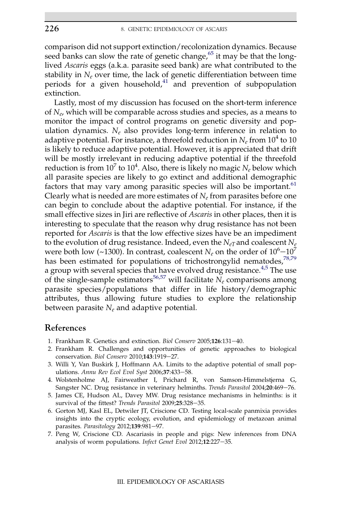comparison did not support extinction/recolonization dynamics. Because seed banks can slow the rate of genetic change,<sup>65</sup> it may be that the longlived Ascaris eggs (a.k.a. parasite seed bank) are what contributed to the stability in  $N_e$  over time, the lack of genetic differentiation between time periods for a given household, $41$  and prevention of subpopulation extinction.

Lastly, most of my discussion has focused on the short-term inference of  $N_e$ , which will be comparable across studies and species, as a means to monitor the impact of control programs on genetic diversity and population dynamics.  $N_e$  also provides long-term inference in relation to adaptive potential. For instance, a threefold reduction in  $N_e$  from 10<sup>4</sup> to 10 is likely to reduce adaptive potential. However, it is appreciated that drift will be mostly irrelevant in reducing adaptive potential if the threefold reduction is from  $10^7$  to  $10^4$ . Also, there is likely no magic N<sub>e</sub> below which all parasite species are likely to go extinct and additional demographic factors that may vary among parasitic species will also be important. $61$ Clearly what is needed are more estimates of  $N_e$  from parasites before one can begin to conclude about the adaptive potential. For instance, if the small effective sizes in Jiri are reflective of Ascaris in other places, then it is interesting to speculate that the reason why drug resistance has not been reported for Ascaris is that the low effective sizes have be an impediment to the evolution of drug resistance. Indeed, even the  $N_{eT}$  and coalescent  $N_e$ were both low (~1300). In contrast, coalescent  $N_e$  on the order of  $10^6$ - $10^7$ has been estimated for populations of trichostrongylid nematodes,<sup>[78,79](#page-37-0)</sup> a group with several species that have evolved drug resistance.<sup>4,5</sup> The use of the single-sample estimators<sup>56,57</sup> will facilitate  $N_e$  comparisons among parasite species/populations that differ in life history/demographic attributes, thus allowing future studies to explore the relationship between parasite  $N_e$  and adaptive potential.

### References

- 1. Frankham R. Genetics and extinction. Biol Conserv 2005;126:131-40.
- 2. Frankham R. Challenges and opportunities of genetic approaches to biological conservation. Biol Conserv 2010;143:1919-27.
- 3. Willi Y, Van Buskirk J, Hoffmann AA. Limits to the adaptive potential of small populations. Annu Rev Ecol Evol Syst 2006;37:433-58.
- 4. Wolstenholme AJ, Fairweather I, Prichard R, von Samson-Himmelstjerna G, Sangster NC. Drug resistance in veterinary helminths. Trends Parasitol 2004;20:469-76.
- 5. James CE, Hudson AL, Davey MW. Drug resistance mechanisms in helminths: is it survival of the fittest? Trends Parasitol 2009;25:328-35.
- 6. Gorton MJ, Kasl EL, Detwiler JT, Criscione CD. Testing local-scale panmixia provides insights into the cryptic ecology, evolution, and epidemiology of metazoan animal parasites. Parasitology 2012;139:981-97.
- 7. Peng W, Criscione CD. Ascariasis in people and pigs: New inferences from DNA analysis of worm populations. Infect Genet Evol 2012;12:227-35.

<span id="page-33-0"></span>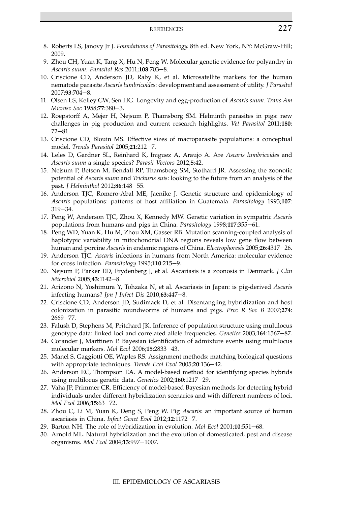- <span id="page-34-0"></span>8. Roberts LS, Janovy Jr J. Foundations of Parasitology. 8th ed. New York, NY: McGraw-Hill; 2009.
- 9. Zhou CH, Yuan K, Tang X, Hu N, Peng W. Molecular genetic evidence for polyandry in Ascaris suum. Parasitol Res 2011;108:703-8.
- 10. Criscione CD, Anderson JD, Raby K, et al. Microsatellite markers for the human nematode parasite Ascaris lumbricoides: development and assessment of utility. J Parasitol 2007;93:704-8.
- 11. Olsen LS, Kelley GW, Sen HG. Longevity and egg-production of Ascaris suum. Trans Am Microsc Soc 1958;77:380-3.
- 12. Roepstorff A, Mejer H, Nejsum P, Thamsborg SM. Helminth parasites in pigs: new challenges in pig production and current research highlights. Vet Parasitol 2011;180:  $72 - 81.$
- 13. Criscione CD, Blouin MS. Effective sizes of macroparasite populations: a conceptual model. Trends Parasitol 2005;21:212-7.
- 14. Leles D, Gardner SL, Reinhard K, Iniguez A, Araujo A. Are Ascaris lumbricoides and Ascaris suum a single species? Parasit Vectors 2012;5:42.
- 15. Nejsum P, Betson M, Bendall RP, Thamsborg SM, Stothard JR. Assessing the zoonotic potential of Ascaris suum and Trichuris suis: looking to the future from an analysis of the past. J Helminthol 2012;86:148-55.
- 16. Anderson TJC, Romero-Abal ME, Jaenike J. Genetic structure and epidemiology of Ascaris populations: patterns of host affiliation in Guatemala. Parasitology 1993;107:  $319 - 34.$
- 17. Peng W, Anderson TJC, Zhou X, Kennedy MW. Genetic variation in sympatric Ascaris populations from humans and pigs in China. Parasitology 1998;117:355-61.
- 18. Peng WD, Yuan K, Hu M, Zhou XM, Gasser RB. Mutation scanning-coupled analysis of haplotypic variability in mitochondrial DNA regions reveals low gene flow between human and porcine Ascaris in endemic regions of China. Electrophoresis 2005;26:4317-26.
- 19. Anderson TJC. Ascaris infections in humans from North America: molecular evidence for cross infection. Parasitology 1995;110:215-9.
- 20. Nejsum P, Parker ED, Frydenberg J, et al. Ascariasis is a zoonosis in Denmark. J Clin Microbiol 2005;43:1142-8.
- 21. Arizono N, Yoshimura Y, Tohzaka N, et al. Ascariasis in Japan: is pig-derived Ascaris infecting humans? Jpn J Infect Dis  $2010;63:447-8$ .
- 22. Criscione CD, Anderson JD, Sudimack D, et al. Disentangling hybridization and host colonization in parasitic roundworms of humans and pigs. Proc R Soc B 2007;274:  $2669 - 77$ .
- 23. Falush D, Stephens M, Pritchard JK. Inference of population structure using multilocus genotype data: linked loci and correlated allele frequencies. Genetics 2003;164:1567-87.
- 24. Corander J, Marttinen P. Bayesian identification of admixture events using multilocus molecular markers. Mol Ecol 2006;15:2833-43.
- 25. Manel S, Gaggiotti OE, Waples RS. Assignment methods: matching biological questions with appropriate techniques. Trends Ecol Evol 2005;20:136-42.
- 26. Anderson EC, Thompson EA. A model-based method for identifying species hybrids using multilocus genetic data. Genetics 2002;160:1217-29.
- 27. Vaha JP, Primmer CR. Efficiency of model-based Bayesian methods for detecting hybrid individuals under different hybridization scenarios and with different numbers of loci. Mol Ecol 2006;15:63-72.
- 28. Zhou C, Li M, Yuan K, Deng S, Peng W. Pig Ascaris: an important source of human ascariasis in China. Infect Genet Evol 2012;12:1172-7.
- 29. Barton NH. The role of hybridization in evolution. Mol Ecol 2001;10:551-68.
- 30. Arnold ML. Natural hybridization and the evolution of domesticated, pest and disease organisms. Mol Ecol 2004;13:997-1007.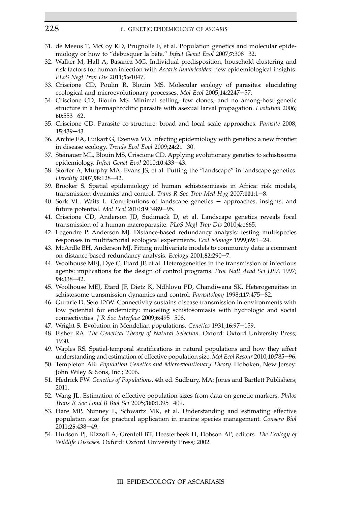### <span id="page-35-0"></span> $228$  8. GENETIC EPIDEMIOLOGY OF ASCARIS

- 31. de Meeus T, McCoy KD, Prugnolle F, et al. Population genetics and molecular epidemiology or how to "debusquer la bête." Infect Genet Evol 2007;7:308-32.
- 32. Walker M, Hall A, Basanez MG. Individual predisposition, household clustering and risk factors for human infection with Ascaris lumbricoides: new epidemiological insights. PLoS Negl Trop Dis 2011;5:e1047.
- 33. Criscione CD, Poulin R, Blouin MS. Molecular ecology of parasites: elucidating ecological and microevolutionary processes. Mol Ecol 2005;14:2247-57.
- 34. Criscione CD, Blouin MS. Minimal selfing, few clones, and no among-host genetic structure in a hermaphroditic parasite with asexual larval propagation. Evolution 2006;  $60:553-62.$
- 35. Criscione CD. Parasite co-structure: broad and local scale approaches. Parasite 2008; 15:439-43.
- 36. Archie EA, Luikart G, Ezenwa VO. Infecting epidemiology with genetics: a new frontier in disease ecology. Trends Ecol Evol 2009;24:21-30.
- 37. Steinauer ML, Blouin MS, Criscione CD. Applying evolutionary genetics to schistosome epidemiology. Infect Genet Evol 2010;10:433-43.
- 38. Storfer A, Murphy MA, Evans JS, et al. Putting the "landscape" in landscape genetics. Heredity 2007;98:128-42.
- 39. Brooker S. Spatial epidemiology of human schistosomiasis in Africa: risk models, transmission dynamics and control. Trans R Soc Trop Med Hyg  $2007;101:1-8$ .
- 40. Sork VL, Waits L. Contributions of landscape genetics approaches, insights, and future potential. Mol Ecol 2010;19:3489-95.
- 41. Criscione CD, Anderson JD, Sudimack D, et al. Landscape genetics reveals focal transmission of a human macroparasite. PLoS Negl Trop Dis 2010;4:e665.
- 42. Legendre P, Anderson MJ. Distance-based redundancy analysis: testing multispecies responses in multifactorial ecological experiments. Ecol Monogr 1999;69:1-24.
- 43. McArdle BH, Anderson MJ. Fitting multivariate models to community data: a comment on distance-based redundancy analysis. Ecology 2001;82:290-7.
- 44. Woolhouse MEJ, Dye C, Etard JF, et al. Heterogeneities in the transmission of infectious agents: implications for the design of control programs. Proc Natl Acad Sci USA 1997; 94:338-42.
- 45. Woolhouse MEJ, Etard JF, Dietz K, Ndhlovu PD, Chandiwana SK. Heterogeneities in schistosome transmission dynamics and control. Parasitology 1998;117:475-82.
- 46. Gurarie D, Seto EYW. Connectivity sustains disease transmission in environments with low potential for endemicity: modeling schistosomiasis with hydrologic and social connectivities. J R Soc Interface  $2009$ :6:495-508.
- 47. Wright S. Evolution in Mendelian populations. Genetics 1931;16:97-159.
- 48. Fisher RA. The Genetical Theory of Natural Selection. Oxford: Oxford University Press; 1930.
- 49. Waples RS. Spatial-temporal stratifications in natural populations and how they affect understanding and estimation of effective population size. Mol Ecol Resour 2010;10:785-96.
- 50. Templeton AR. Population Genetics and Microevolutionary Theory. Hoboken, New Jersey: John Wiley & Sons, Inc.; 2006.
- 51. Hedrick PW. Genetics of Populations. 4th ed. Sudbury, MA: Jones and Bartlett Publishers; 2011.
- 52. Wang JL. Estimation of effective population sizes from data on genetic markers. Philos Trans R Soc Lond B Biol Sci 2005;360:1395-409.
- 53. Hare MP, Nunney L, Schwartz MK, et al. Understanding and estimating effective population size for practical application in marine species management. Conserv Biol 2011;25:438-49.
- 54. Hudson PJ, Rizzoli A, Grenfell BT, Heesterbeek H, Dobson AP, editors. The Ecology of Wildlife Diseases. Oxford: Oxford University Press; 2002.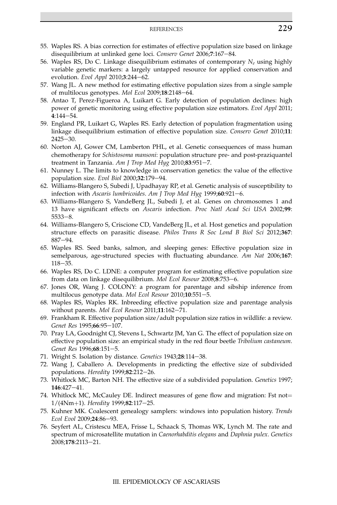### REFERENCES 229

- <span id="page-36-0"></span>55. Waples RS. A bias correction for estimates of effective population size based on linkage disequilibrium at unlinked gene loci. Conserv Genet 2006;7:167-84.
- 56. Waples RS, Do C. Linkage disequilibrium estimates of contemporary  $N_e$  using highly variable genetic markers: a largely untapped resource for applied conservation and evolution. Evol Appl 2010;3:244-62.
- 57. Wang JL. A new method for estimating effective population sizes from a single sample of multilocus genotypes. Mol Ecol 2009;18:2148-64.
- 58. Antao T, Perez-Figueroa A, Luikart G. Early detection of population declines: high power of genetic monitoring using effective population size estimators. Evol Appl 2011;  $4:144 - 54.$
- 59. England PR, Luikart G, Waples RS. Early detection of population fragmentation using linkage disequilibrium estimation of effective population size. Conserv Genet 2010;11:  $2425 - 30.$
- 60. Norton AJ, Gower CM, Lamberton PHL, et al. Genetic consequences of mass human chemotherapy for *Schistosoma mansoni*: population structure pre- and post-praziquantel treatment in Tanzania. Am J Trop Med Hyg  $2010;83:951-7$ .
- 61. Nunney L. The limits to knowledge in conservation genetics: the value of the effective population size. Evol Biol 2000;32:179-94.
- 62. Williams-Blangero S, Subedi J, Upadhayay RP, et al. Genetic analysis of susceptibility to infection with Ascaris lumbricoides. Am J Trop Med Hyg  $1999;60:921-6$ .
- 63. Williams-Blangero S, VandeBerg JL, Subedi J, et al. Genes on chromosomes 1 and 13 have significant effects on Ascaris infection. Proc Natl Acad Sci USA 2002;99:  $5533 - 8.$
- 64. Williams-Blangero S, Criscione CD, VandeBerg JL, et al. Host genetics and population structure effects on parasitic disease. Philos Trans R Soc Lond B Biol Sci 2012;367: 887-94.
- 65. Waples RS. Seed banks, salmon, and sleeping genes: Effective population size in semelparous, age-structured species with fluctuating abundance. Am Nat 2006;167:  $118 - 35.$
- 66. Waples RS, Do C. LDNE: a computer program for estimating effective population size from data on linkage disequilibrium. Mol Ecol Resour 2008;8:753-6.
- 67. Jones OR, Wang J. COLONY: a program for parentage and sibship inference from multilocus genotype data. Mol Ecol Resour 2010;10:551-5.
- 68. Waples RS, Waples RK. Inbreeding effective population size and parentage analysis without parents. Mol Ecol Resour 2011;11:162-71.
- 69. Frankham R. Effective population size/adult population size ratios in wildlife: a review. Genet Res 1995;66:95-107.
- 70. Pray LA, Goodnight CJ, Stevens L, Schwartz JM, Yan G. The effect of population size on effective population size: an empirical study in the red flour beetle Tribolium castaneum. Genet Res 1996;68:151-5.
- 71. Wright S. Isolation by distance. Genetics 1943;28:114-38.
- 72. Wang J, Caballero A. Developments in predicting the effective size of subdivided populations. Heredity 1999;82:212-26.
- 73. Whitlock MC, Barton NH. The effective size of a subdivided population. Genetics 1997;  $146:427-41.$
- 74. Whitlock MC, McCauley DE. Indirect measures of gene flow and migration: Fst not=  $1/(4Nm+1)$ . Heredity 1999;82:117-25.
- 75. Kuhner MK. Coalescent genealogy samplers: windows into population history. Trends Ecol Evol 2009;24:86-93.
- 76. Seyfert AL, Cristescu MEA, Frisse L, Schaack S, Thomas WK, Lynch M. The rate and spectrum of microsatellite mutation in Caenorhabditis elegans and Daphnia pulex. Genetics 2008;178:2113-21.